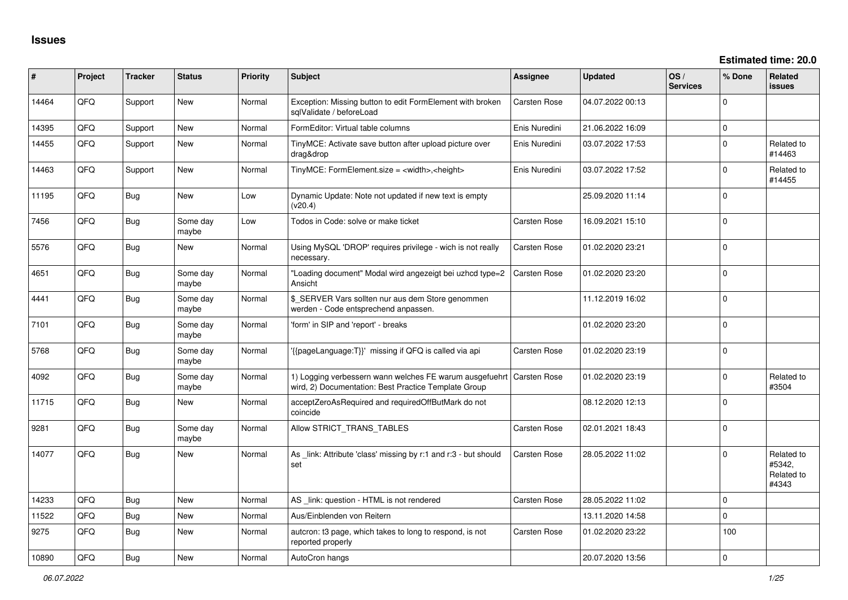| #     | Project | <b>Tracker</b> | <b>Status</b>     | <b>Priority</b> | <b>Subject</b>                                                                                                               | <b>Assignee</b>     | <b>Updated</b>   | OS/<br><b>Services</b> | % Done       | <b>Related</b><br><b>issues</b>             |
|-------|---------|----------------|-------------------|-----------------|------------------------------------------------------------------------------------------------------------------------------|---------------------|------------------|------------------------|--------------|---------------------------------------------|
| 14464 | QFQ.    | Support        | <b>New</b>        | Normal          | Exception: Missing button to edit FormElement with broken<br>sqlValidate / beforeLoad                                        | <b>Carsten Rose</b> | 04.07.2022 00:13 |                        | 0            |                                             |
| 14395 | QFQ     | Support        | <b>New</b>        | Normal          | FormEditor: Virtual table columns                                                                                            | Enis Nuredini       | 21.06.2022 16:09 |                        | $\mathbf{0}$ |                                             |
| 14455 | QFQ     | Support        | New               | Normal          | TinyMCE: Activate save button after upload picture over<br>drag&drop                                                         | Enis Nuredini       | 03.07.2022 17:53 |                        | $\Omega$     | Related to<br>#14463                        |
| 14463 | QFQ     | Support        | New               | Normal          | TinyMCE: FormElement.size = <width>,<height></height></width>                                                                | Enis Nuredini       | 03.07.2022 17:52 |                        | 0            | Related to<br>#14455                        |
| 11195 | QFQ     | Bug            | New               | Low             | Dynamic Update: Note not updated if new text is empty<br>(v20.4)                                                             |                     | 25.09.2020 11:14 |                        | 0            |                                             |
| 7456  | QFQ     | Bug            | Some day<br>maybe | Low             | Todos in Code: solve or make ticket                                                                                          | <b>Carsten Rose</b> | 16.09.2021 15:10 |                        | $\mathbf 0$  |                                             |
| 5576  | QFQ     | <b>Bug</b>     | New               | Normal          | Using MySQL 'DROP' requires privilege - wich is not really<br>necessary.                                                     | <b>Carsten Rose</b> | 01.02.2020 23:21 |                        | 0            |                                             |
| 4651  | QFQ     | <b>Bug</b>     | Some day<br>maybe | Normal          | "Loading document" Modal wird angezeigt bei uzhcd type=2<br>Ansicht                                                          | <b>Carsten Rose</b> | 01.02.2020 23:20 |                        | 0            |                                             |
| 4441  | QFQ     | Bug            | Some day<br>maybe | Normal          | \$_SERVER Vars sollten nur aus dem Store genommen<br>werden - Code entsprechend anpassen.                                    |                     | 11.12.2019 16:02 |                        | 0            |                                             |
| 7101  | QFQ     | Bug            | Some day<br>maybe | Normal          | 'form' in SIP and 'report' - breaks                                                                                          |                     | 01.02.2020 23:20 |                        | 0            |                                             |
| 5768  | QFQ     | <b>Bug</b>     | Some day<br>maybe | Normal          | '{{pageLanguage:T}}' missing if QFQ is called via api                                                                        | <b>Carsten Rose</b> | 01.02.2020 23:19 |                        | 0            |                                             |
| 4092  | QFQ     | <b>Bug</b>     | Some day<br>maybe | Normal          | 1) Logging verbessern wann welches FE warum ausgefuehrt Carsten Rose<br>wird, 2) Documentation: Best Practice Template Group |                     | 01.02.2020 23:19 |                        | 0            | Related to<br>#3504                         |
| 11715 | QFQ     | <b>Bug</b>     | <b>New</b>        | Normal          | acceptZeroAsRequired and requiredOffButMark do not<br>coincide                                                               |                     | 08.12.2020 12:13 |                        | 0            |                                             |
| 9281  | QFQ     | Bug            | Some day<br>maybe | Normal          | Allow STRICT_TRANS_TABLES                                                                                                    | <b>Carsten Rose</b> | 02.01.2021 18:43 |                        | $\Omega$     |                                             |
| 14077 | QFQ     | Bug            | New               | Normal          | As link: Attribute 'class' missing by r:1 and r:3 - but should<br>set                                                        | Carsten Rose        | 28.05.2022 11:02 |                        | 0            | Related to<br>#5342,<br>Related to<br>#4343 |
| 14233 | QFQ     | Bug            | New               | Normal          | AS _link: question - HTML is not rendered                                                                                    | <b>Carsten Rose</b> | 28.05.2022 11:02 |                        | $\mathbf 0$  |                                             |
| 11522 | QFQ     | Bug            | <b>New</b>        | Normal          | Aus/Einblenden von Reitern                                                                                                   |                     | 13.11.2020 14:58 |                        | $\Omega$     |                                             |
| 9275  | QFQ     | Bug            | New               | Normal          | auteron: t3 page, which takes to long to respond, is not<br>reported properly                                                | <b>Carsten Rose</b> | 01.02.2020 23:22 |                        | 100          |                                             |
| 10890 | QFQ     | Bug            | <b>New</b>        | Normal          | AutoCron hangs                                                                                                               |                     | 20.07.2020 13:56 |                        | $\mathbf 0$  |                                             |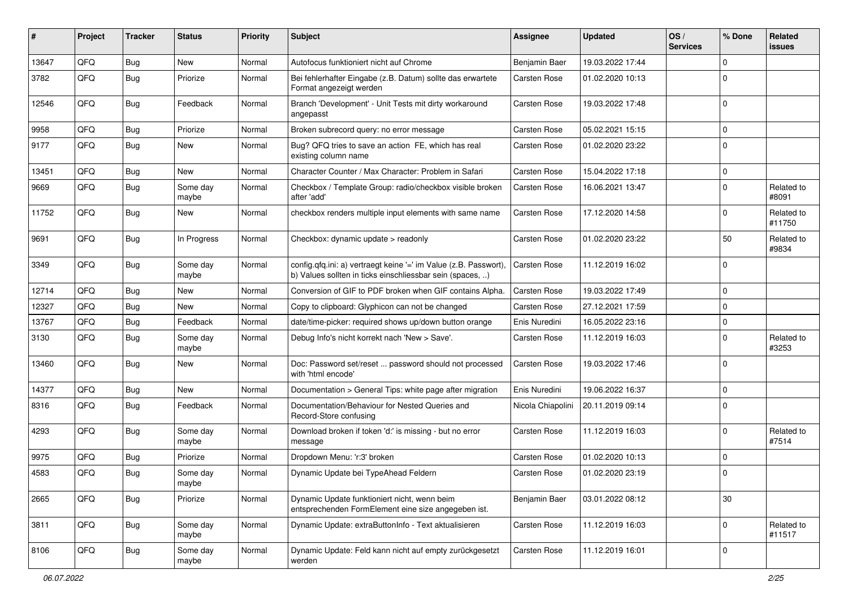| ∦     | Project | <b>Tracker</b> | <b>Status</b>     | <b>Priority</b> | <b>Subject</b>                                                                                                                | Assignee            | <b>Updated</b>   | OS/<br><b>Services</b> | % Done      | Related<br>issues    |
|-------|---------|----------------|-------------------|-----------------|-------------------------------------------------------------------------------------------------------------------------------|---------------------|------------------|------------------------|-------------|----------------------|
| 13647 | QFQ     | Bug            | New               | Normal          | Autofocus funktioniert nicht auf Chrome                                                                                       | Benjamin Baer       | 19.03.2022 17:44 |                        | $\Omega$    |                      |
| 3782  | QFQ     | Bug            | Priorize          | Normal          | Bei fehlerhafter Eingabe (z.B. Datum) sollte das erwartete<br>Format angezeigt werden                                         | Carsten Rose        | 01.02.2020 10:13 |                        | $\Omega$    |                      |
| 12546 | QFQ     | Bug            | Feedback          | Normal          | Branch 'Development' - Unit Tests mit dirty workaround<br>angepasst                                                           | Carsten Rose        | 19.03.2022 17:48 |                        | $\Omega$    |                      |
| 9958  | QFQ     | Bug            | Priorize          | Normal          | Broken subrecord query: no error message                                                                                      | Carsten Rose        | 05.02.2021 15:15 |                        | $\Omega$    |                      |
| 9177  | QFQ     | Bug            | New               | Normal          | Bug? QFQ tries to save an action FE, which has real<br>existing column name                                                   | <b>Carsten Rose</b> | 01.02.2020 23:22 |                        | $\mathbf 0$ |                      |
| 13451 | QFQ     | Bug            | <b>New</b>        | Normal          | Character Counter / Max Character: Problem in Safari                                                                          | Carsten Rose        | 15.04.2022 17:18 |                        | $\mathbf 0$ |                      |
| 9669  | QFQ     | Bug            | Some day<br>maybe | Normal          | Checkbox / Template Group: radio/checkbox visible broken<br>after 'add'                                                       | <b>Carsten Rose</b> | 16.06.2021 13:47 |                        | $\Omega$    | Related to<br>#8091  |
| 11752 | QFQ     | Bug            | New               | Normal          | checkbox renders multiple input elements with same name                                                                       | Carsten Rose        | 17.12.2020 14:58 |                        | $\Omega$    | Related to<br>#11750 |
| 9691  | QFQ     | Bug            | In Progress       | Normal          | Checkbox: dynamic update > readonly                                                                                           | Carsten Rose        | 01.02.2020 23:22 |                        | 50          | Related to<br>#9834  |
| 3349  | QFQ     | Bug            | Some day<br>maybe | Normal          | config.qfq.ini: a) vertraegt keine '=' im Value (z.B. Passwort),<br>b) Values sollten in ticks einschliessbar sein (spaces, ) | <b>Carsten Rose</b> | 11.12.2019 16:02 |                        | $\Omega$    |                      |
| 12714 | QFQ     | Bug            | New               | Normal          | Conversion of GIF to PDF broken when GIF contains Alpha.                                                                      | <b>Carsten Rose</b> | 19.03.2022 17:49 |                        | $\mathbf 0$ |                      |
| 12327 | QFQ     | Bug            | New               | Normal          | Copy to clipboard: Glyphicon can not be changed                                                                               | Carsten Rose        | 27.12.2021 17:59 |                        | $\Omega$    |                      |
| 13767 | QFQ     | Bug            | Feedback          | Normal          | date/time-picker: required shows up/down button orange                                                                        | Enis Nuredini       | 16.05.2022 23:16 |                        | $\mathbf 0$ |                      |
| 3130  | QFQ     | Bug            | Some day<br>maybe | Normal          | Debug Info's nicht korrekt nach 'New > Save'.                                                                                 | Carsten Rose        | 11.12.2019 16:03 |                        | $\Omega$    | Related to<br>#3253  |
| 13460 | QFQ     | <b>Bug</b>     | New               | Normal          | Doc: Password set/reset  password should not processed<br>with 'html encode'                                                  | Carsten Rose        | 19.03.2022 17:46 |                        | $\Omega$    |                      |
| 14377 | QFQ     | Bug            | New               | Normal          | Documentation > General Tips: white page after migration                                                                      | Enis Nuredini       | 19.06.2022 16:37 |                        | $\mathbf 0$ |                      |
| 8316  | QFQ     | Bug            | Feedback          | Normal          | Documentation/Behaviour for Nested Queries and<br>Record-Store confusing                                                      | Nicola Chiapolini   | 20.11.2019 09:14 |                        | $\Omega$    |                      |
| 4293  | QFQ     | Bug            | Some day<br>maybe | Normal          | Download broken if token 'd:' is missing - but no error<br>message                                                            | Carsten Rose        | 11.12.2019 16:03 |                        | $\Omega$    | Related to<br>#7514  |
| 9975  | QFQ     | Bug            | Priorize          | Normal          | Dropdown Menu: 'r:3' broken                                                                                                   | Carsten Rose        | 01.02.2020 10:13 |                        | $\Omega$    |                      |
| 4583  | QFQ     | Bug            | Some day<br>maybe | Normal          | Dynamic Update bei TypeAhead Feldern                                                                                          | <b>Carsten Rose</b> | 01.02.2020 23:19 |                        | $\Omega$    |                      |
| 2665  | QFQ     | Bug            | Priorize          | Normal          | Dynamic Update funktioniert nicht, wenn beim<br>entsprechenden FormElement eine size angegeben ist.                           | Benjamin Baer       | 03.01.2022 08:12 |                        | $30\,$      |                      |
| 3811  | QFQ     | <b>Bug</b>     | Some day<br>maybe | Normal          | Dynamic Update: extraButtonInfo - Text aktualisieren                                                                          | Carsten Rose        | 11.12.2019 16:03 |                        | $\mathbf 0$ | Related to<br>#11517 |
| 8106  | QFQ     | Bug            | Some day<br>maybe | Normal          | Dynamic Update: Feld kann nicht auf empty zurückgesetzt<br>werden                                                             | Carsten Rose        | 11.12.2019 16:01 |                        | 0           |                      |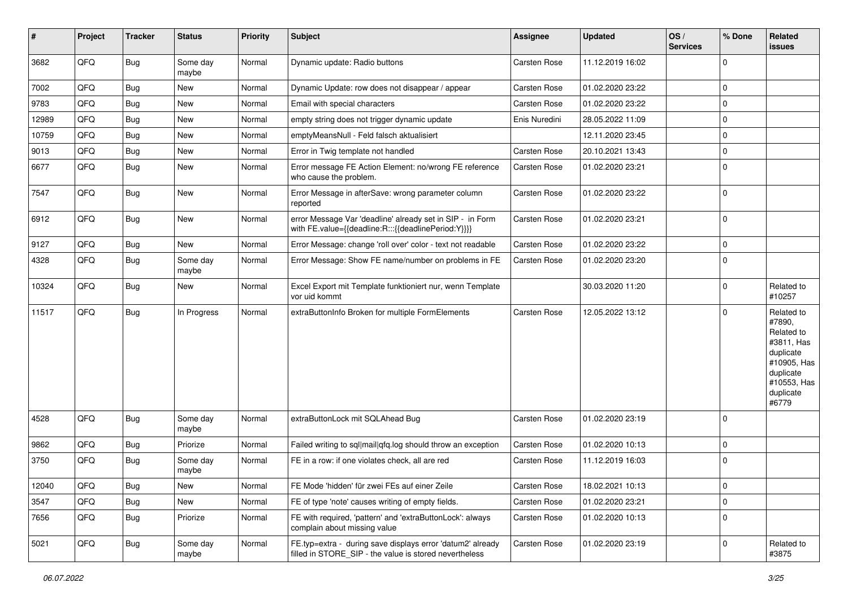| #     | Project | <b>Tracker</b> | <b>Status</b>     | <b>Priority</b> | <b>Subject</b>                                                                                                       | <b>Assignee</b>     | <b>Updated</b>   | OS/<br><b>Services</b> | % Done      | Related<br>issues                                                                                                              |
|-------|---------|----------------|-------------------|-----------------|----------------------------------------------------------------------------------------------------------------------|---------------------|------------------|------------------------|-------------|--------------------------------------------------------------------------------------------------------------------------------|
| 3682  | QFQ     | Bug            | Some day<br>maybe | Normal          | Dynamic update: Radio buttons                                                                                        | <b>Carsten Rose</b> | 11.12.2019 16:02 |                        | 0           |                                                                                                                                |
| 7002  | QFQ     | Bug            | New               | Normal          | Dynamic Update: row does not disappear / appear                                                                      | <b>Carsten Rose</b> | 01.02.2020 23:22 |                        | 0           |                                                                                                                                |
| 9783  | QFQ     | Bug            | New               | Normal          | Email with special characters                                                                                        | <b>Carsten Rose</b> | 01.02.2020 23:22 |                        | 0           |                                                                                                                                |
| 12989 | QFQ     | Bug            | New               | Normal          | empty string does not trigger dynamic update                                                                         | Enis Nuredini       | 28.05.2022 11:09 |                        | 0           |                                                                                                                                |
| 10759 | QFQ     | Bug            | New               | Normal          | emptyMeansNull - Feld falsch aktualisiert                                                                            |                     | 12.11.2020 23:45 |                        | 0           |                                                                                                                                |
| 9013  | QFQ     | Bug            | New               | Normal          | Error in Twig template not handled                                                                                   | <b>Carsten Rose</b> | 20.10.2021 13:43 |                        | 0           |                                                                                                                                |
| 6677  | QFQ     | Bug            | New               | Normal          | Error message FE Action Element: no/wrong FE reference<br>who cause the problem.                                     | <b>Carsten Rose</b> | 01.02.2020 23:21 |                        | $\mathbf 0$ |                                                                                                                                |
| 7547  | QFQ     | Bug            | New               | Normal          | Error Message in afterSave: wrong parameter column<br>reported                                                       | <b>Carsten Rose</b> | 01.02.2020 23:22 |                        | $\mathbf 0$ |                                                                                                                                |
| 6912  | QFQ     | Bug            | New               | Normal          | error Message Var 'deadline' already set in SIP - in Form<br>with FE.value={{deadline:R:::{{deadlinePeriod:Y}}}}     | <b>Carsten Rose</b> | 01.02.2020 23:21 |                        | $\mathbf 0$ |                                                                                                                                |
| 9127  | QFQ     | Bug            | New               | Normal          | Error Message: change 'roll over' color - text not readable                                                          | <b>Carsten Rose</b> | 01.02.2020 23:22 |                        | 0           |                                                                                                                                |
| 4328  | QFQ     | Bug            | Some day<br>maybe | Normal          | Error Message: Show FE name/number on problems in FE                                                                 | <b>Carsten Rose</b> | 01.02.2020 23:20 |                        | $\mathbf 0$ |                                                                                                                                |
| 10324 | QFQ     | <b>Bug</b>     | New               | Normal          | Excel Export mit Template funktioniert nur, wenn Template<br>vor uid kommt                                           |                     | 30.03.2020 11:20 |                        | 0           | Related to<br>#10257                                                                                                           |
| 11517 | QFQ     | <b>Bug</b>     | In Progress       | Normal          | extraButtonInfo Broken for multiple FormElements                                                                     | <b>Carsten Rose</b> | 12.05.2022 13:12 |                        | $\mathbf 0$ | Related to<br>#7890,<br>Related to<br>#3811, Has<br>duplicate<br>#10905, Has<br>duplicate<br>#10553, Has<br>duplicate<br>#6779 |
| 4528  | QFQ     | <b>Bug</b>     | Some day<br>maybe | Normal          | extraButtonLock mit SQLAhead Bug                                                                                     | Carsten Rose        | 01.02.2020 23:19 |                        | $\mathbf 0$ |                                                                                                                                |
| 9862  | QFQ     | <b>Bug</b>     | Priorize          | Normal          | Failed writing to sql mail qfq.log should throw an exception                                                         | <b>Carsten Rose</b> | 01.02.2020 10:13 |                        | 0           |                                                                                                                                |
| 3750  | QFQ     | Bug            | Some day<br>maybe | Normal          | FE in a row: if one violates check, all are red                                                                      | <b>Carsten Rose</b> | 11.12.2019 16:03 |                        | 0           |                                                                                                                                |
| 12040 | QFQ     | <b>Bug</b>     | New               | Normal          | FE Mode 'hidden' für zwei FEs auf einer Zeile                                                                        | Carsten Rose        | 18.02.2021 10:13 |                        | $\pmb{0}$   |                                                                                                                                |
| 3547  | QFQ     | Bug            | New               | Normal          | FE of type 'note' causes writing of empty fields.                                                                    | Carsten Rose        | 01.02.2020 23:21 |                        | 0           |                                                                                                                                |
| 7656  | QFQ     | Bug            | Priorize          | Normal          | FE with required, 'pattern' and 'extraButtonLock': always<br>complain about missing value                            | Carsten Rose        | 01.02.2020 10:13 |                        | 0           |                                                                                                                                |
| 5021  | QFQ     | Bug            | Some day<br>maybe | Normal          | FE.typ=extra - during save displays error 'datum2' already<br>filled in STORE SIP - the value is stored nevertheless | Carsten Rose        | 01.02.2020 23:19 |                        | 0           | Related to<br>#3875                                                                                                            |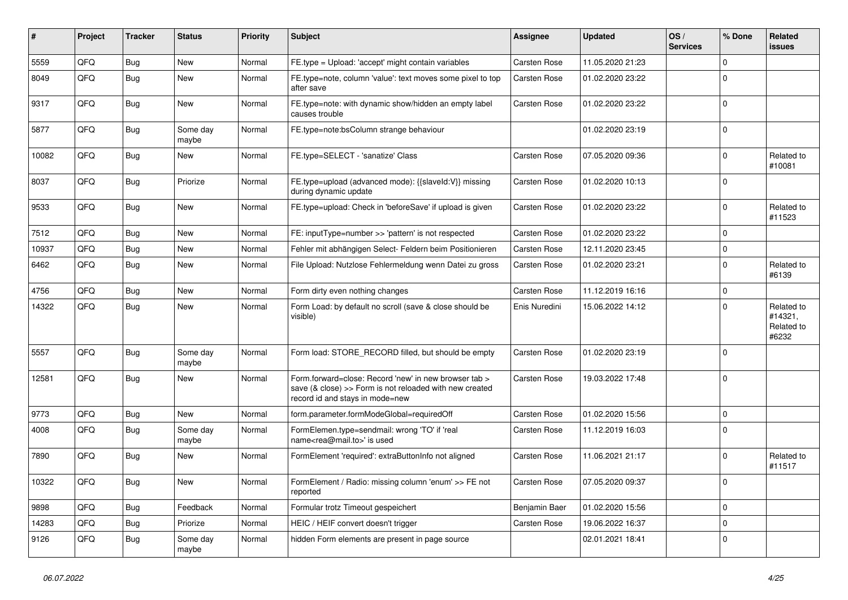| #     | Project | <b>Tracker</b> | <b>Status</b>     | <b>Priority</b> | Subject                                                                                                                                             | Assignee            | <b>Updated</b>   | OS/<br><b>Services</b> | % Done      | Related<br>issues                            |
|-------|---------|----------------|-------------------|-----------------|-----------------------------------------------------------------------------------------------------------------------------------------------------|---------------------|------------------|------------------------|-------------|----------------------------------------------|
| 5559  | QFQ     | Bug            | New               | Normal          | FE.type = Upload: 'accept' might contain variables                                                                                                  | Carsten Rose        | 11.05.2020 21:23 |                        | $\Omega$    |                                              |
| 8049  | QFQ     | Bug            | New               | Normal          | FE.type=note, column 'value': text moves some pixel to top<br>after save                                                                            | Carsten Rose        | 01.02.2020 23:22 |                        | $\Omega$    |                                              |
| 9317  | QFQ     | Bug            | New               | Normal          | FE.type=note: with dynamic show/hidden an empty label<br>causes trouble                                                                             | Carsten Rose        | 01.02.2020 23:22 |                        | $\Omega$    |                                              |
| 5877  | QFQ     | Bug            | Some day<br>maybe | Normal          | FE.type=note:bsColumn strange behaviour                                                                                                             |                     | 01.02.2020 23:19 |                        | 0           |                                              |
| 10082 | QFQ     | Bug            | New               | Normal          | FE.type=SELECT - 'sanatize' Class                                                                                                                   | Carsten Rose        | 07.05.2020 09:36 |                        | $\Omega$    | Related to<br>#10081                         |
| 8037  | QFQ     | Bug            | Priorize          | Normal          | FE.type=upload (advanced mode): {{slaveId:V}} missing<br>during dynamic update                                                                      | Carsten Rose        | 01.02.2020 10:13 |                        | 0           |                                              |
| 9533  | QFQ     | <b>Bug</b>     | New               | Normal          | FE.type=upload: Check in 'beforeSave' if upload is given                                                                                            | Carsten Rose        | 01.02.2020 23:22 |                        | $\mathbf 0$ | Related to<br>#11523                         |
| 7512  | QFQ     | Bug            | New               | Normal          | FE: inputType=number >> 'pattern' is not respected                                                                                                  | Carsten Rose        | 01.02.2020 23:22 |                        | $\mathbf 0$ |                                              |
| 10937 | QFQ     | Bug            | New               | Normal          | Fehler mit abhängigen Select- Feldern beim Positionieren                                                                                            | Carsten Rose        | 12.11.2020 23:45 |                        | $\Omega$    |                                              |
| 6462  | QFQ     | Bug            | New               | Normal          | File Upload: Nutzlose Fehlermeldung wenn Datei zu gross                                                                                             | Carsten Rose        | 01.02.2020 23:21 |                        | $\Omega$    | Related to<br>#6139                          |
| 4756  | QFQ     | Bug            | New               | Normal          | Form dirty even nothing changes                                                                                                                     | <b>Carsten Rose</b> | 11.12.2019 16:16 |                        | $\Omega$    |                                              |
| 14322 | QFQ     | Bug            | New               | Normal          | Form Load: by default no scroll (save & close should be<br>visible)                                                                                 | Enis Nuredini       | 15.06.2022 14:12 |                        | $\Omega$    | Related to<br>#14321,<br>Related to<br>#6232 |
| 5557  | QFQ     | Bug            | Some day<br>maybe | Normal          | Form load: STORE_RECORD filled, but should be empty                                                                                                 | <b>Carsten Rose</b> | 01.02.2020 23:19 |                        | $\mathbf 0$ |                                              |
| 12581 | QFQ     | Bug            | New               | Normal          | Form.forward=close: Record 'new' in new browser tab ><br>save (& close) >> Form is not reloaded with new created<br>record id and stays in mode=new | Carsten Rose        | 19.03.2022 17:48 |                        | 0           |                                              |
| 9773  | QFQ     | <b>Bug</b>     | New               | Normal          | form.parameter.formModeGlobal=requiredOff                                                                                                           | Carsten Rose        | 01.02.2020 15:56 |                        | $\mathbf 0$ |                                              |
| 4008  | QFQ     | Bug            | Some day<br>maybe | Normal          | FormElemen.type=sendmail: wrong 'TO' if 'real<br>name <rea@mail.to>' is used</rea@mail.to>                                                          | Carsten Rose        | 11.12.2019 16:03 |                        | $\Omega$    |                                              |
| 7890  | QFQ     | Bug            | New               | Normal          | FormElement 'required': extraButtonInfo not aligned                                                                                                 | Carsten Rose        | 11.06.2021 21:17 |                        | $\Omega$    | Related to<br>#11517                         |
| 10322 | QFQ     | Bug            | New               | Normal          | FormElement / Radio: missing column 'enum' >> FE not<br>reported                                                                                    | Carsten Rose        | 07.05.2020 09:37 |                        | 0           |                                              |
| 9898  | QFQ     | Bug            | Feedback          | Normal          | Formular trotz Timeout gespeichert                                                                                                                  | Benjamin Baer       | 01.02.2020 15:56 |                        | 0           |                                              |
| 14283 | QFQ     | Bug            | Priorize          | Normal          | HEIC / HEIF convert doesn't trigger                                                                                                                 | Carsten Rose        | 19.06.2022 16:37 |                        | $\mathbf 0$ |                                              |
| 9126  | QFQ     | Bug            | Some day<br>maybe | Normal          | hidden Form elements are present in page source                                                                                                     |                     | 02.01.2021 18:41 |                        | $\mathbf 0$ |                                              |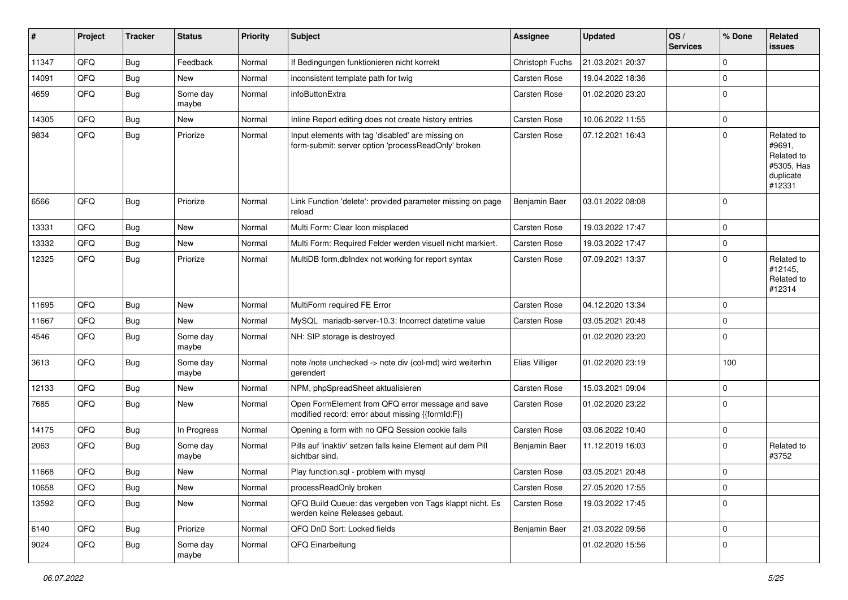| #     | Project | <b>Tracker</b> | <b>Status</b>     | <b>Priority</b> | Subject                                                                                                  | <b>Assignee</b>     | <b>Updated</b>   | OS/<br><b>Services</b> | % Done      | Related<br><b>issues</b>                                                |
|-------|---------|----------------|-------------------|-----------------|----------------------------------------------------------------------------------------------------------|---------------------|------------------|------------------------|-------------|-------------------------------------------------------------------------|
| 11347 | QFQ     | Bug            | Feedback          | Normal          | If Bedingungen funktionieren nicht korrekt                                                               | Christoph Fuchs     | 21.03.2021 20:37 |                        | $\mathbf 0$ |                                                                         |
| 14091 | QFQ     | Bug            | New               | Normal          | inconsistent template path for twig                                                                      | Carsten Rose        | 19.04.2022 18:36 |                        | $\mathbf 0$ |                                                                         |
| 4659  | QFQ     | <b>Bug</b>     | Some day<br>maybe | Normal          | infoButtonExtra                                                                                          | Carsten Rose        | 01.02.2020 23:20 |                        | $\mathbf 0$ |                                                                         |
| 14305 | QFQ     | <b>Bug</b>     | New               | Normal          | Inline Report editing does not create history entries                                                    | Carsten Rose        | 10.06.2022 11:55 |                        | $\mathbf 0$ |                                                                         |
| 9834  | QFQ     | <b>Bug</b>     | Priorize          | Normal          | Input elements with tag 'disabled' are missing on<br>form-submit: server option 'processReadOnly' broken | Carsten Rose        | 07.12.2021 16:43 |                        | $\mathbf 0$ | Related to<br>#9691,<br>Related to<br>#5305, Has<br>duplicate<br>#12331 |
| 6566  | QFQ     | Bug            | Priorize          | Normal          | Link Function 'delete': provided parameter missing on page<br>reload                                     | Benjamin Baer       | 03.01.2022 08:08 |                        | $\mathbf 0$ |                                                                         |
| 13331 | QFQ     | Bug            | <b>New</b>        | Normal          | Multi Form: Clear Icon misplaced                                                                         | Carsten Rose        | 19.03.2022 17:47 |                        | $\mathbf 0$ |                                                                         |
| 13332 | QFQ     | <b>Bug</b>     | New               | Normal          | Multi Form: Required Felder werden visuell nicht markiert.                                               | Carsten Rose        | 19.03.2022 17:47 |                        | $\mathbf 0$ |                                                                         |
| 12325 | QFQ     | <b>Bug</b>     | Priorize          | Normal          | MultiDB form.dblndex not working for report syntax                                                       | Carsten Rose        | 07.09.2021 13:37 |                        | $\Omega$    | Related to<br>#12145,<br>Related to<br>#12314                           |
| 11695 | QFQ     | Bug            | New               | Normal          | MultiForm required FE Error                                                                              | Carsten Rose        | 04.12.2020 13:34 |                        | $\mathbf 0$ |                                                                         |
| 11667 | QFQ     | Bug            | New               | Normal          | MySQL mariadb-server-10.3: Incorrect datetime value                                                      | Carsten Rose        | 03.05.2021 20:48 |                        | $\mathbf 0$ |                                                                         |
| 4546  | QFQ     | Bug            | Some day<br>maybe | Normal          | NH: SIP storage is destroyed                                                                             |                     | 01.02.2020 23:20 |                        | $\mathbf 0$ |                                                                         |
| 3613  | QFQ     | Bug            | Some day<br>maybe | Normal          | note /note unchecked -> note div (col-md) wird weiterhin<br>gerendert                                    | Elias Villiger      | 01.02.2020 23:19 |                        | 100         |                                                                         |
| 12133 | QFQ     | <b>Bug</b>     | <b>New</b>        | Normal          | NPM, phpSpreadSheet aktualisieren                                                                        | <b>Carsten Rose</b> | 15.03.2021 09:04 |                        | $\mathbf 0$ |                                                                         |
| 7685  | QFQ     | Bug            | New               | Normal          | Open FormElement from QFQ error message and save<br>modified record: error about missing {{formId:F}}    | Carsten Rose        | 01.02.2020 23:22 |                        | $\mathbf 0$ |                                                                         |
| 14175 | QFQ     | Bug            | In Progress       | Normal          | Opening a form with no QFQ Session cookie fails                                                          | Carsten Rose        | 03.06.2022 10:40 |                        | $\mathbf 0$ |                                                                         |
| 2063  | QFQ     | <b>Bug</b>     | Some day<br>maybe | Normal          | Pills auf 'inaktiv' setzen falls keine Element auf dem Pill<br>sichtbar sind.                            | Benjamin Baer       | 11.12.2019 16:03 |                        | $\mathbf 0$ | Related to<br>#3752                                                     |
| 11668 | QFQ     | <b>Bug</b>     | New               | Normal          | Play function.sql - problem with mysql                                                                   | <b>Carsten Rose</b> | 03.05.2021 20:48 |                        | $\mathbf 0$ |                                                                         |
| 10658 | QFQ     | <b>Bug</b>     | New               | Normal          | processReadOnly broken                                                                                   | Carsten Rose        | 27.05.2020 17:55 |                        | $\pmb{0}$   |                                                                         |
| 13592 | QFQ     | Bug            | New               | Normal          | QFQ Build Queue: das vergeben von Tags klappt nicht. Es<br>werden keine Releases gebaut.                 | Carsten Rose        | 19.03.2022 17:45 |                        | $\mathbf 0$ |                                                                         |
| 6140  | QFQ     | <b>Bug</b>     | Priorize          | Normal          | QFQ DnD Sort: Locked fields                                                                              | Benjamin Baer       | 21.03.2022 09:56 |                        | $\mathbf 0$ |                                                                         |
| 9024  | QFQ     | Bug            | Some day<br>maybe | Normal          | QFQ Einarbeitung                                                                                         |                     | 01.02.2020 15:56 |                        | $\mathbf 0$ |                                                                         |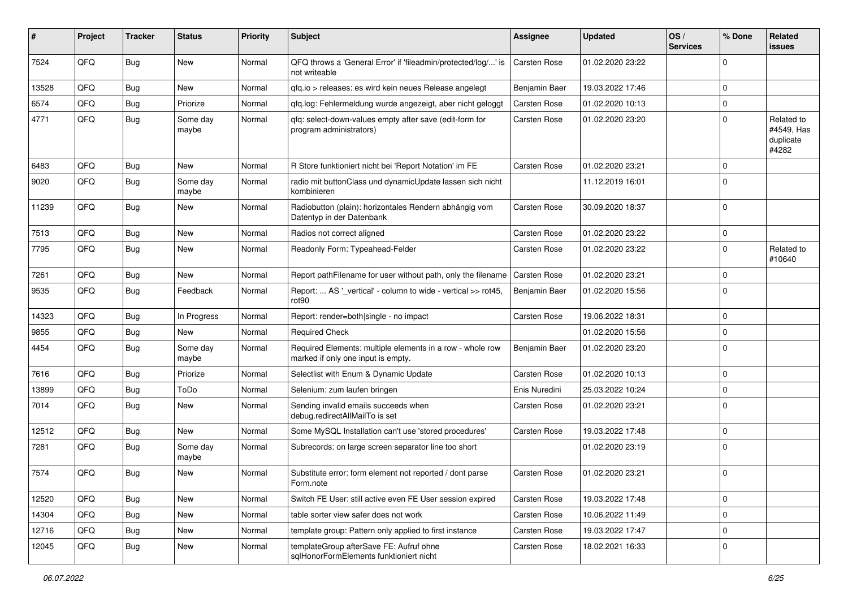| #     | Project | <b>Tracker</b> | <b>Status</b>     | <b>Priority</b> | <b>Subject</b>                                                                                  | <b>Assignee</b>     | <b>Updated</b>   | OS/<br><b>Services</b> | % Done      | Related<br>issues                              |
|-------|---------|----------------|-------------------|-----------------|-------------------------------------------------------------------------------------------------|---------------------|------------------|------------------------|-------------|------------------------------------------------|
| 7524  | QFQ     | <b>Bug</b>     | <b>New</b>        | Normal          | QFQ throws a 'General Error' if 'fileadmin/protected/log/' is<br>not writeable                  | <b>Carsten Rose</b> | 01.02.2020 23:22 |                        | 0           |                                                |
| 13528 | QFQ     | <b>Bug</b>     | New               | Normal          | gfg.io > releases: es wird kein neues Release angelegt                                          | Benjamin Baer       | 19.03.2022 17:46 |                        | $\Omega$    |                                                |
| 6574  | QFQ     | <b>Bug</b>     | Priorize          | Normal          | qfq.log: Fehlermeldung wurde angezeigt, aber nicht geloggt                                      | Carsten Rose        | 01.02.2020 10:13 |                        | 0           |                                                |
| 4771  | QFQ     | <b>Bug</b>     | Some day<br>maybe | Normal          | gfg: select-down-values empty after save (edit-form for<br>program administrators)              | Carsten Rose        | 01.02.2020 23:20 |                        | 0           | Related to<br>#4549, Has<br>duplicate<br>#4282 |
| 6483  | QFQ     | Bug            | <b>New</b>        | Normal          | R Store funktioniert nicht bei 'Report Notation' im FE                                          | <b>Carsten Rose</b> | 01.02.2020 23:21 |                        | $\Omega$    |                                                |
| 9020  | QFQ     | <b>Bug</b>     | Some day<br>maybe | Normal          | radio mit buttonClass und dynamicUpdate lassen sich nicht<br>kombinieren                        |                     | 11.12.2019 16:01 |                        | $\mathbf 0$ |                                                |
| 11239 | QFQ     | Bug            | New               | Normal          | Radiobutton (plain): horizontales Rendern abhängig vom<br>Datentyp in der Datenbank             | Carsten Rose        | 30.09.2020 18:37 |                        | $\mathbf 0$ |                                                |
| 7513  | QFQ     | Bug            | <b>New</b>        | Normal          | Radios not correct aligned                                                                      | Carsten Rose        | 01.02.2020 23:22 |                        | $\mathbf 0$ |                                                |
| 7795  | QFQ     | <b>Bug</b>     | <b>New</b>        | Normal          | Readonly Form: Typeahead-Felder                                                                 | <b>Carsten Rose</b> | 01.02.2020 23:22 |                        | $\Omega$    | Related to<br>#10640                           |
| 7261  | QFQ     | Bug            | New               | Normal          | Report pathFilename for user without path, only the filename                                    | Carsten Rose        | 01.02.2020 23:21 |                        | $\Omega$    |                                                |
| 9535  | QFQ     | Bug            | Feedback          | Normal          | Report:  AS '_vertical' - column to wide - vertical >> rot45,<br>rot <sub>90</sub>              | Benjamin Baer       | 01.02.2020 15:56 |                        | $\Omega$    |                                                |
| 14323 | QFQ     | Bug            | In Progress       | Normal          | Report: render=both single - no impact                                                          | <b>Carsten Rose</b> | 19.06.2022 18:31 |                        | $\Omega$    |                                                |
| 9855  | QFQ     | Bug            | New               | Normal          | <b>Required Check</b>                                                                           |                     | 01.02.2020 15:56 |                        | $\mathbf 0$ |                                                |
| 4454  | QFQ     | <b>Bug</b>     | Some day<br>maybe | Normal          | Required Elements: multiple elements in a row - whole row<br>marked if only one input is empty. | Benjamin Baer       | 01.02.2020 23:20 |                        | $\Omega$    |                                                |
| 7616  | QFQ     | <b>Bug</b>     | Priorize          | Normal          | Selectlist with Enum & Dynamic Update                                                           | Carsten Rose        | 01.02.2020 10:13 |                        | $\Omega$    |                                                |
| 13899 | QFQ     | Bug            | ToDo              | Normal          | Selenium: zum laufen bringen                                                                    | Enis Nuredini       | 25.03.2022 10:24 |                        | $\mathbf 0$ |                                                |
| 7014  | QFQ     | Bug            | New               | Normal          | Sending invalid emails succeeds when<br>debug.redirectAllMailTo is set                          | Carsten Rose        | 01.02.2020 23:21 |                        | $\Omega$    |                                                |
| 12512 | QFQ     | <b>Bug</b>     | New               | Normal          | Some MySQL Installation can't use 'stored procedures'                                           | <b>Carsten Rose</b> | 19.03.2022 17:48 |                        | $\Omega$    |                                                |
| 7281  | QFQ     | Bug            | Some day<br>maybe | Normal          | Subrecords: on large screen separator line too short                                            |                     | 01.02.2020 23:19 |                        | 0           |                                                |
| 7574  | QFQ     | Bug            | <b>New</b>        | Normal          | Substitute error: form element not reported / dont parse<br>Form.note                           | <b>Carsten Rose</b> | 01.02.2020 23:21 |                        | $\mathbf 0$ |                                                |
| 12520 | QFQ     | Bug            | New               | Normal          | Switch FE User: still active even FE User session expired                                       | Carsten Rose        | 19.03.2022 17:48 |                        | $\mathbf 0$ |                                                |
| 14304 | QFQ     | Bug            | New               | Normal          | table sorter view safer does not work                                                           | Carsten Rose        | 10.06.2022 11:49 |                        | 0           |                                                |
| 12716 | QFQ     | <b>Bug</b>     | New               | Normal          | template group: Pattern only applied to first instance                                          | Carsten Rose        | 19.03.2022 17:47 |                        | 0           |                                                |
| 12045 | QFQ     | Bug            | New               | Normal          | templateGroup afterSave FE: Aufruf ohne<br>sqlHonorFormElements funktioniert nicht              | Carsten Rose        | 18.02.2021 16:33 |                        | 0           |                                                |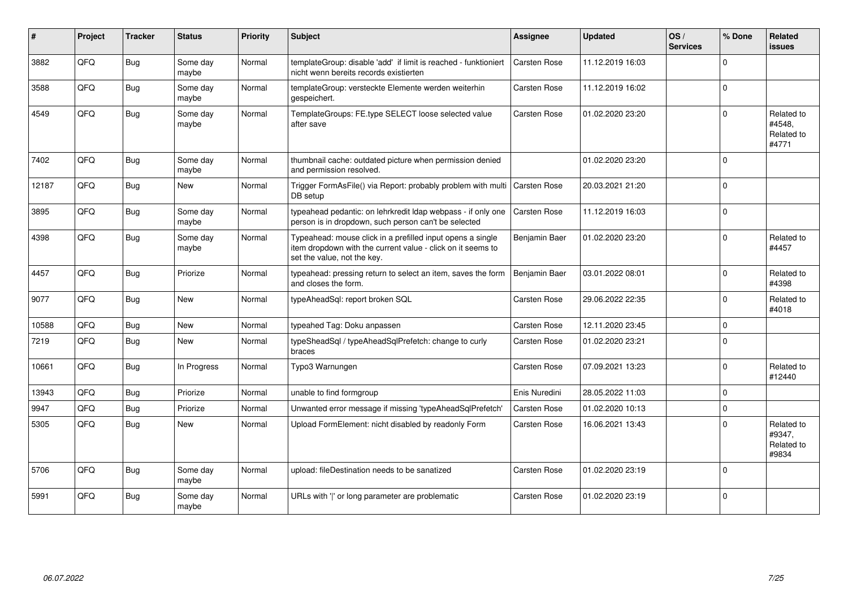| #     | Project | <b>Tracker</b> | <b>Status</b>     | <b>Priority</b> | Subject                                                                                                                                                  | <b>Assignee</b>     | <b>Updated</b>   | OS/<br><b>Services</b> | % Done      | Related<br><b>issues</b>                    |
|-------|---------|----------------|-------------------|-----------------|----------------------------------------------------------------------------------------------------------------------------------------------------------|---------------------|------------------|------------------------|-------------|---------------------------------------------|
| 3882  | QFQ     | Bug            | Some day<br>maybe | Normal          | templateGroup: disable 'add' if limit is reached - funktioniert<br>nicht wenn bereits records existierten                                                | Carsten Rose        | 11.12.2019 16:03 |                        | $\Omega$    |                                             |
| 3588  | QFQ     | <b>Bug</b>     | Some day<br>maybe | Normal          | templateGroup: versteckte Elemente werden weiterhin<br>gespeichert.                                                                                      | Carsten Rose        | 11.12.2019 16:02 |                        | $\Omega$    |                                             |
| 4549  | QFQ     | <b>Bug</b>     | Some day<br>maybe | Normal          | TemplateGroups: FE.type SELECT loose selected value<br>after save                                                                                        | Carsten Rose        | 01.02.2020 23:20 |                        | $\Omega$    | Related to<br>#4548,<br>Related to<br>#4771 |
| 7402  | QFQ     | <b>Bug</b>     | Some day<br>maybe | Normal          | thumbnail cache: outdated picture when permission denied<br>and permission resolved.                                                                     |                     | 01.02.2020 23:20 |                        | $\Omega$    |                                             |
| 12187 | QFQ     | <b>Bug</b>     | New               | Normal          | Trigger FormAsFile() via Report: probably problem with multi<br>DB setup                                                                                 | <b>Carsten Rose</b> | 20.03.2021 21:20 |                        | $\Omega$    |                                             |
| 3895  | QFQ     | <b>Bug</b>     | Some day<br>maybe | Normal          | typeahead pedantic: on lehrkredit Idap webpass - if only one<br>person is in dropdown, such person can't be selected                                     | Carsten Rose        | 11.12.2019 16:03 |                        | $\Omega$    |                                             |
| 4398  | QFQ     | <b>Bug</b>     | Some day<br>maybe | Normal          | Typeahead: mouse click in a prefilled input opens a single<br>item dropdown with the current value - click on it seems to<br>set the value, not the key. | Benjamin Baer       | 01.02.2020 23:20 |                        | $\mathbf 0$ | Related to<br>#4457                         |
| 4457  | QFQ     | <b>Bug</b>     | Priorize          | Normal          | typeahead: pressing return to select an item, saves the form<br>and closes the form.                                                                     | Benjamin Baer       | 03.01.2022 08:01 |                        | $\Omega$    | Related to<br>#4398                         |
| 9077  | QFQ     | Bug            | <b>New</b>        | Normal          | typeAheadSql: report broken SQL                                                                                                                          | Carsten Rose        | 29.06.2022 22:35 |                        | $\Omega$    | Related to<br>#4018                         |
| 10588 | QFQ     | <b>Bug</b>     | New               | Normal          | typeahed Tag: Doku anpassen                                                                                                                              | Carsten Rose        | 12.11.2020 23:45 |                        | $\mathbf 0$ |                                             |
| 7219  | QFQ     | <b>Bug</b>     | <b>New</b>        | Normal          | typeSheadSql / typeAheadSqlPrefetch: change to curly<br>braces                                                                                           | Carsten Rose        | 01.02.2020 23:21 |                        | $\Omega$    |                                             |
| 10661 | QFQ     | <b>Bug</b>     | In Progress       | Normal          | Typo3 Warnungen                                                                                                                                          | Carsten Rose        | 07.09.2021 13:23 |                        | $\Omega$    | Related to<br>#12440                        |
| 13943 | QFQ     | <b>Bug</b>     | Priorize          | Normal          | unable to find formgroup                                                                                                                                 | Enis Nuredini       | 28.05.2022 11:03 |                        | $\Omega$    |                                             |
| 9947  | QFQ     | <b>Bug</b>     | Priorize          | Normal          | Unwanted error message if missing 'typeAheadSqlPrefetch'                                                                                                 | <b>Carsten Rose</b> | 01.02.2020 10:13 |                        | $\Omega$    |                                             |
| 5305  | QFQ     | Bug            | <b>New</b>        | Normal          | Upload FormElement: nicht disabled by readonly Form                                                                                                      | Carsten Rose        | 16.06.2021 13:43 |                        | $\Omega$    | Related to<br>#9347,<br>Related to<br>#9834 |
| 5706  | QFQ     | <b>Bug</b>     | Some day<br>maybe | Normal          | upload: fileDestination needs to be sanatized                                                                                                            | <b>Carsten Rose</b> | 01.02.2020 23:19 |                        | $\Omega$    |                                             |
| 5991  | QFQ     | Bug            | Some day<br>maybe | Normal          | URLs with 'I' or long parameter are problematic                                                                                                          | <b>Carsten Rose</b> | 01.02.2020 23:19 |                        | $\Omega$    |                                             |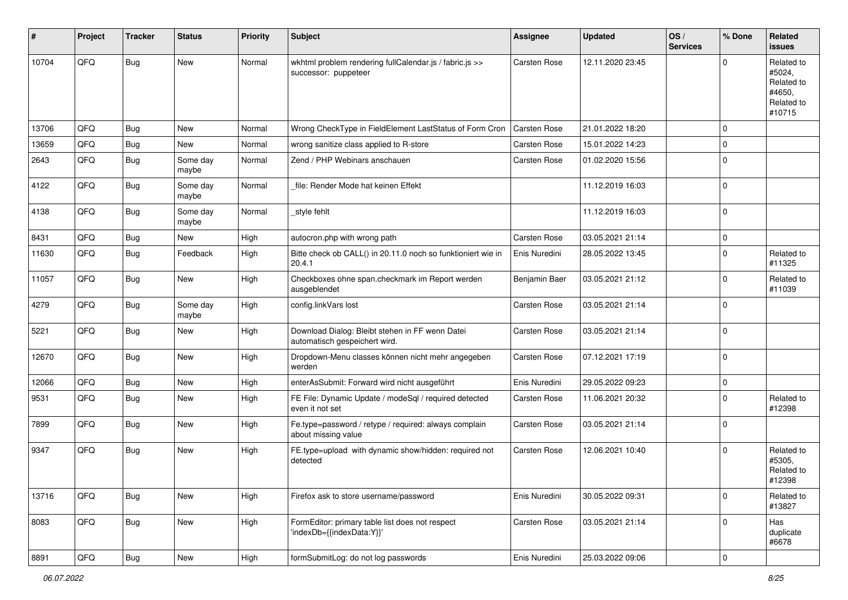| #     | Project | <b>Tracker</b> | <b>Status</b>     | <b>Priority</b> | Subject                                                                          | Assignee            | <b>Updated</b>   | OS/<br><b>Services</b> | % Done      | Related<br>issues                                                    |
|-------|---------|----------------|-------------------|-----------------|----------------------------------------------------------------------------------|---------------------|------------------|------------------------|-------------|----------------------------------------------------------------------|
| 10704 | QFQ     | Bug            | New               | Normal          | wkhtml problem rendering fullCalendar.js / fabric.js >><br>successor: puppeteer  | Carsten Rose        | 12.11.2020 23:45 |                        | $\Omega$    | Related to<br>#5024,<br>Related to<br>#4650,<br>Related to<br>#10715 |
| 13706 | QFQ     | <b>Bug</b>     | New               | Normal          | Wrong CheckType in FieldElement LastStatus of Form Cron                          | <b>Carsten Rose</b> | 21.01.2022 18:20 |                        | $\Omega$    |                                                                      |
| 13659 | QFQ     | Bug            | New               | Normal          | wrong sanitize class applied to R-store                                          | Carsten Rose        | 15.01.2022 14:23 |                        | $\Omega$    |                                                                      |
| 2643  | QFQ     | <b>Bug</b>     | Some day<br>maybe | Normal          | Zend / PHP Webinars anschauen                                                    | Carsten Rose        | 01.02.2020 15:56 |                        | $\mathbf 0$ |                                                                      |
| 4122  | QFQ     | Bug            | Some day<br>maybe | Normal          | file: Render Mode hat keinen Effekt                                              |                     | 11.12.2019 16:03 |                        | $\Omega$    |                                                                      |
| 4138  | QFQ     | <b>Bug</b>     | Some day<br>maybe | Normal          | style fehlt                                                                      |                     | 11.12.2019 16:03 |                        | $\mathbf 0$ |                                                                      |
| 8431  | QFQ     | <b>Bug</b>     | New               | High            | autocron.php with wrong path                                                     | Carsten Rose        | 03.05.2021 21:14 |                        | $\Omega$    |                                                                      |
| 11630 | QFQ     | <b>Bug</b>     | Feedback          | High            | Bitte check ob CALL() in 20.11.0 noch so funktioniert wie in<br>20.4.1           | Enis Nuredini       | 28.05.2022 13:45 |                        | $\Omega$    | Related to<br>#11325                                                 |
| 11057 | QFQ     | <b>Bug</b>     | New               | High            | Checkboxes ohne span.checkmark im Report werden<br>ausgeblendet                  | Benjamin Baer       | 03.05.2021 21:12 |                        | $\Omega$    | Related to<br>#11039                                                 |
| 4279  | QFQ     | <b>Bug</b>     | Some day<br>maybe | High            | config.linkVars lost                                                             | Carsten Rose        | 03.05.2021 21:14 |                        | $\mathbf 0$ |                                                                      |
| 5221  | QFQ     | <b>Bug</b>     | New               | High            | Download Dialog: Bleibt stehen in FF wenn Datei<br>automatisch gespeichert wird. | Carsten Rose        | 03.05.2021 21:14 |                        | $\Omega$    |                                                                      |
| 12670 | QFQ     | Bug            | New               | High            | Dropdown-Menu classes können nicht mehr angegeben<br>werden                      | Carsten Rose        | 07.12.2021 17:19 |                        | 0           |                                                                      |
| 12066 | QFQ     | <b>Bug</b>     | New               | High            | enterAsSubmit: Forward wird nicht ausgeführt                                     | Enis Nuredini       | 29.05.2022 09:23 |                        | $\mathbf 0$ |                                                                      |
| 9531  | QFQ     | <b>Bug</b>     | New               | High            | FE File: Dynamic Update / modeSql / required detected<br>even it not set         | Carsten Rose        | 11.06.2021 20:32 |                        | $\Omega$    | Related to<br>#12398                                                 |
| 7899  | QFQ     | Bug            | New               | High            | Fe.type=password / retype / required: always complain<br>about missing value     | Carsten Rose        | 03.05.2021 21:14 |                        | $\mathbf 0$ |                                                                      |
| 9347  | QFQ     | Bug            | New               | High            | FE.type=upload with dynamic show/hidden: required not<br>detected                | Carsten Rose        | 12.06.2021 10:40 |                        | 0           | Related to<br>#5305,<br>Related to<br>#12398                         |
| 13716 | QFQ     | <b>Bug</b>     | New               | High            | Firefox ask to store username/password                                           | Enis Nuredini       | 30.05.2022 09:31 |                        | $\mathbf 0$ | Related to<br>#13827                                                 |
| 8083  | QFQ     | <b>Bug</b>     | New               | High            | FormEditor: primary table list does not respect<br>'indexDb={{indexData:Y}}'     | Carsten Rose        | 03.05.2021 21:14 |                        | 0           | Has<br>duplicate<br>#6678                                            |
| 8891  | QFG     | Bug            | New               | High            | formSubmitLog: do not log passwords                                              | Enis Nuredini       | 25.03.2022 09:06 |                        | 0           |                                                                      |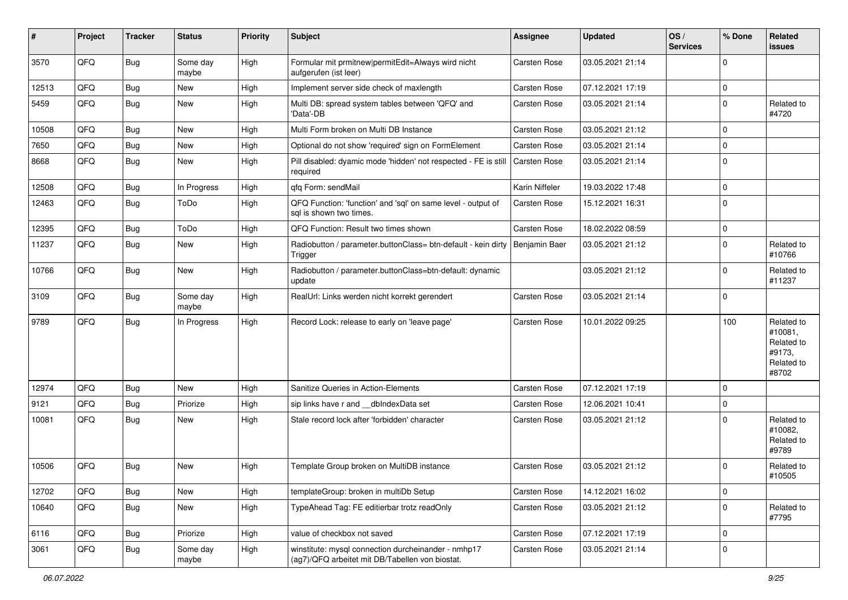| #     | Project | <b>Tracker</b> | <b>Status</b>     | <b>Priority</b> | <b>Subject</b>                                                                                         | <b>Assignee</b>     | <b>Updated</b>   | OS/<br><b>Services</b> | % Done      | Related<br><b>issues</b>                                             |
|-------|---------|----------------|-------------------|-----------------|--------------------------------------------------------------------------------------------------------|---------------------|------------------|------------------------|-------------|----------------------------------------------------------------------|
| 3570  | QFQ     | <b>Bug</b>     | Some day<br>maybe | High            | Formular mit prmitnew permitEdit=Always wird nicht<br>aufgerufen (ist leer)                            | Carsten Rose        | 03.05.2021 21:14 |                        | $\Omega$    |                                                                      |
| 12513 | QFQ     | Bug            | New               | High            | Implement server side check of maxlength                                                               | Carsten Rose        | 07.12.2021 17:19 |                        | $\mathbf 0$ |                                                                      |
| 5459  | QFQ     | Bug            | New               | High            | Multi DB: spread system tables between 'QFQ' and<br>'Data'-DB                                          | Carsten Rose        | 03.05.2021 21:14 |                        | $\Omega$    | Related to<br>#4720                                                  |
| 10508 | QFQ     | Bug            | <b>New</b>        | High            | Multi Form broken on Multi DB Instance                                                                 | Carsten Rose        | 03.05.2021 21:12 |                        | $\Omega$    |                                                                      |
| 7650  | QFQ     | Bug            | <b>New</b>        | High            | Optional do not show 'required' sign on FormElement                                                    | Carsten Rose        | 03.05.2021 21:14 |                        | $\mathbf 0$ |                                                                      |
| 8668  | QFQ     | Bug            | New               | High            | Pill disabled: dyamic mode 'hidden' not respected - FE is still<br>required                            | Carsten Rose        | 03.05.2021 21:14 |                        | $\Omega$    |                                                                      |
| 12508 | QFQ     | Bug            | In Progress       | High            | qfq Form: sendMail                                                                                     | Karin Niffeler      | 19.03.2022 17:48 |                        | $\mathbf 0$ |                                                                      |
| 12463 | QFQ     | Bug            | ToDo              | High            | QFQ Function: 'function' and 'sql' on same level - output of<br>sql is shown two times.                | Carsten Rose        | 15.12.2021 16:31 |                        | $\Omega$    |                                                                      |
| 12395 | QFQ     | Bug            | ToDo              | High            | QFQ Function: Result two times shown                                                                   | Carsten Rose        | 18.02.2022 08:59 |                        | $\mathbf 0$ |                                                                      |
| 11237 | QFQ     | Bug            | New               | High            | Radiobutton / parameter.buttonClass= btn-default - kein dirty<br>Trigger                               | Benjamin Baer       | 03.05.2021 21:12 |                        | $\mathbf 0$ | Related to<br>#10766                                                 |
| 10766 | QFQ     | <b>Bug</b>     | New               | High            | Radiobutton / parameter.buttonClass=btn-default: dynamic<br>update                                     |                     | 03.05.2021 21:12 |                        | $\Omega$    | Related to<br>#11237                                                 |
| 3109  | QFQ     | <b>Bug</b>     | Some day<br>maybe | High            | RealUrl: Links werden nicht korrekt gerendert                                                          | Carsten Rose        | 03.05.2021 21:14 |                        | $\Omega$    |                                                                      |
| 9789  | QFQ     | Bug            | In Progress       | High            | Record Lock: release to early on 'leave page'                                                          | Carsten Rose        | 10.01.2022 09:25 |                        | 100         | Related to<br>#10081,<br>Related to<br>#9173,<br>Related to<br>#8702 |
| 12974 | QFQ     | Bug            | New               | High            | Sanitize Queries in Action-Elements                                                                    | <b>Carsten Rose</b> | 07.12.2021 17:19 |                        | $\Omega$    |                                                                      |
| 9121  | QFQ     | Bug            | Priorize          | High            | sip links have r and __dbIndexData set                                                                 | Carsten Rose        | 12.06.2021 10:41 |                        | $\mathbf 0$ |                                                                      |
| 10081 | QFQ     | Bug            | New               | High            | Stale record lock after 'forbidden' character                                                          | Carsten Rose        | 03.05.2021 21:12 |                        | $\Omega$    | Related to<br>#10082,<br>Related to<br>#9789                         |
| 10506 | QFQ     | Bug            | <b>New</b>        | High            | Template Group broken on MultiDB instance                                                              | <b>Carsten Rose</b> | 03.05.2021 21:12 |                        | $\Omega$    | Related to<br>#10505                                                 |
| 12702 | QFQ     | <b>Bug</b>     | New               | High            | templateGroup: broken in multiDb Setup                                                                 | Carsten Rose        | 14.12.2021 16:02 |                        | $\mathbf 0$ |                                                                      |
| 10640 | QFQ     | <b>Bug</b>     | New               | High            | TypeAhead Tag: FE editierbar trotz readOnly                                                            | Carsten Rose        | 03.05.2021 21:12 |                        | $\mathbf 0$ | Related to<br>#7795                                                  |
| 6116  | QFQ     | <b>Bug</b>     | Priorize          | High            | value of checkbox not saved                                                                            | Carsten Rose        | 07.12.2021 17:19 |                        | $\mathbf 0$ |                                                                      |
| 3061  | QFQ     | <b>Bug</b>     | Some day<br>maybe | High            | winstitute: mysql connection durcheinander - nmhp17<br>(ag7)/QFQ arbeitet mit DB/Tabellen von biostat. | Carsten Rose        | 03.05.2021 21:14 |                        | $\mathbf 0$ |                                                                      |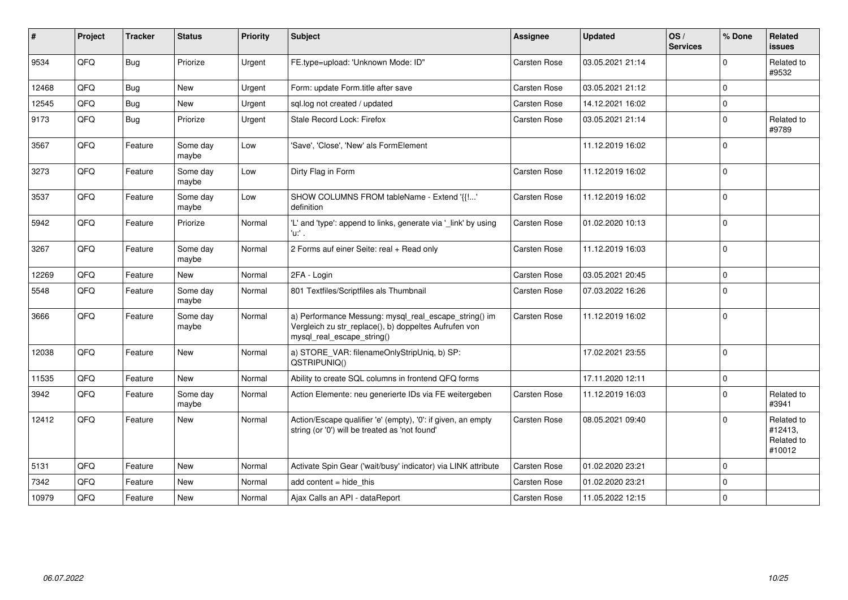| ∦     | Project | <b>Tracker</b> | <b>Status</b>     | <b>Priority</b> | <b>Subject</b>                                                                                                                               | <b>Assignee</b> | <b>Updated</b>   | OS/<br><b>Services</b> | % Done      | Related<br><b>issues</b>                      |
|-------|---------|----------------|-------------------|-----------------|----------------------------------------------------------------------------------------------------------------------------------------------|-----------------|------------------|------------------------|-------------|-----------------------------------------------|
| 9534  | QFQ     | Bug            | Priorize          | Urgent          | FE.type=upload: 'Unknown Mode: ID"                                                                                                           | Carsten Rose    | 03.05.2021 21:14 |                        | $\Omega$    | Related to<br>#9532                           |
| 12468 | QFQ     | Bug            | New               | Urgent          | Form: update Form.title after save                                                                                                           | Carsten Rose    | 03.05.2021 21:12 |                        | $\Omega$    |                                               |
| 12545 | QFQ     | Bug            | <b>New</b>        | Urgent          | sql.log not created / updated                                                                                                                | Carsten Rose    | 14.12.2021 16:02 |                        | $\Omega$    |                                               |
| 9173  | QFQ     | Bug            | Priorize          | Urgent          | Stale Record Lock: Firefox                                                                                                                   | Carsten Rose    | 03.05.2021 21:14 |                        | $\Omega$    | Related to<br>#9789                           |
| 3567  | QFQ     | Feature        | Some day<br>maybe | Low             | 'Save', 'Close', 'New' als FormElement                                                                                                       |                 | 11.12.2019 16:02 |                        | $\Omega$    |                                               |
| 3273  | QFQ     | Feature        | Some day<br>maybe | Low             | Dirty Flag in Form                                                                                                                           | Carsten Rose    | 11.12.2019 16:02 |                        | $\Omega$    |                                               |
| 3537  | QFQ     | Feature        | Some day<br>maybe | Low             | SHOW COLUMNS FROM tableName - Extend '{{!'<br>definition                                                                                     | Carsten Rose    | 11.12.2019 16:02 |                        | $\Omega$    |                                               |
| 5942  | QFQ     | Feature        | Priorize          | Normal          | 'L' and 'type': append to links, generate via '_link' by using<br>'u:' .                                                                     | Carsten Rose    | 01.02.2020 10:13 |                        | $\Omega$    |                                               |
| 3267  | QFQ     | Feature        | Some day<br>maybe | Normal          | 2 Forms auf einer Seite: real + Read only                                                                                                    | Carsten Rose    | 11.12.2019 16:03 |                        | $\Omega$    |                                               |
| 12269 | QFQ     | Feature        | <b>New</b>        | Normal          | 2FA - Login                                                                                                                                  | Carsten Rose    | 03.05.2021 20:45 |                        | $\mathbf 0$ |                                               |
| 5548  | QFQ     | Feature        | Some day<br>maybe | Normal          | 801 Textfiles/Scriptfiles als Thumbnail                                                                                                      | Carsten Rose    | 07.03.2022 16:26 |                        | $\Omega$    |                                               |
| 3666  | QFQ     | Feature        | Some day<br>maybe | Normal          | a) Performance Messung: mysql_real_escape_string() im<br>Vergleich zu str_replace(), b) doppeltes Aufrufen von<br>mysql_real_escape_string() | Carsten Rose    | 11.12.2019 16:02 |                        | $\Omega$    |                                               |
| 12038 | QFQ     | Feature        | <b>New</b>        | Normal          | a) STORE_VAR: filenameOnlyStripUniq, b) SP:<br>QSTRIPUNIQ()                                                                                  |                 | 17.02.2021 23:55 |                        | $\Omega$    |                                               |
| 11535 | QFQ     | Feature        | <b>New</b>        | Normal          | Ability to create SQL columns in frontend QFQ forms                                                                                          |                 | 17.11.2020 12:11 |                        | $\mathbf 0$ |                                               |
| 3942  | QFQ     | Feature        | Some day<br>maybe | Normal          | Action Elemente: neu generierte IDs via FE weitergeben                                                                                       | Carsten Rose    | 11.12.2019 16:03 |                        | $\Omega$    | Related to<br>#3941                           |
| 12412 | QFQ     | Feature        | New               | Normal          | Action/Escape qualifier 'e' (empty), '0': if given, an empty<br>string (or '0') will be treated as 'not found'                               | Carsten Rose    | 08.05.2021 09:40 |                        | $\Omega$    | Related to<br>#12413,<br>Related to<br>#10012 |
| 5131  | QFQ     | Feature        | <b>New</b>        | Normal          | Activate Spin Gear ('wait/busy' indicator) via LINK attribute                                                                                | Carsten Rose    | 01.02.2020 23:21 |                        | $\Omega$    |                                               |
| 7342  | QFQ     | Feature        | <b>New</b>        | Normal          | add content = hide this                                                                                                                      | Carsten Rose    | 01.02.2020 23:21 |                        | $\Omega$    |                                               |
| 10979 | QFQ     | Feature        | <b>New</b>        | Normal          | Ajax Calls an API - dataReport                                                                                                               | Carsten Rose    | 11.05.2022 12:15 |                        | $\mathbf 0$ |                                               |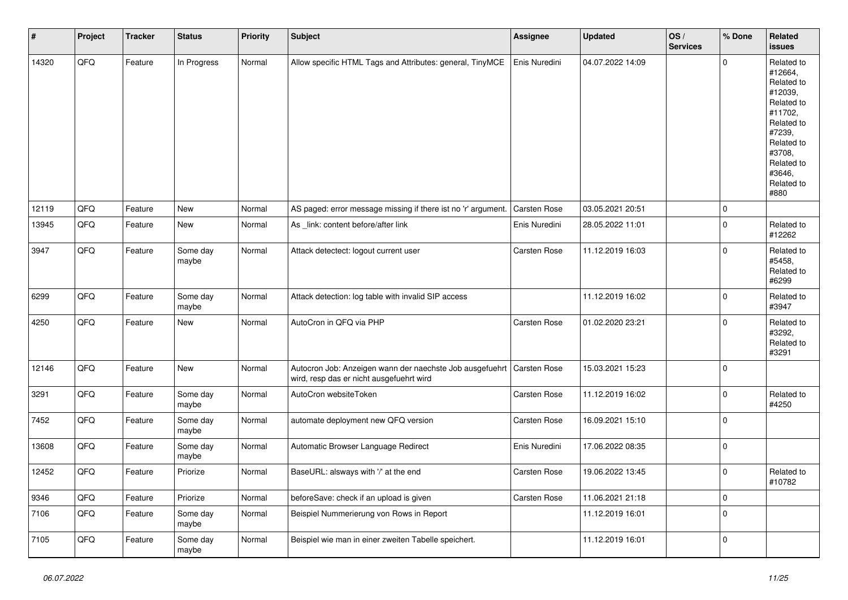| $\sharp$ | Project | <b>Tracker</b> | <b>Status</b>     | <b>Priority</b> | <b>Subject</b>                                                                                                      | <b>Assignee</b>     | <b>Updated</b>   | OS/<br><b>Services</b> | % Done      | Related<br>issues                                                                                                                                                     |
|----------|---------|----------------|-------------------|-----------------|---------------------------------------------------------------------------------------------------------------------|---------------------|------------------|------------------------|-------------|-----------------------------------------------------------------------------------------------------------------------------------------------------------------------|
| 14320    | QFQ     | Feature        | In Progress       | Normal          | Allow specific HTML Tags and Attributes: general, TinyMCE                                                           | Enis Nuredini       | 04.07.2022 14:09 |                        | $\Omega$    | Related to<br>#12664,<br>Related to<br>#12039,<br>Related to<br>#11702,<br>Related to<br>#7239,<br>Related to<br>#3708,<br>Related to<br>#3646,<br>Related to<br>#880 |
| 12119    | QFQ     | Feature        | New               | Normal          | AS paged: error message missing if there ist no 'r' argument.                                                       | <b>Carsten Rose</b> | 03.05.2021 20:51 |                        | $\mathbf 0$ |                                                                                                                                                                       |
| 13945    | QFQ     | Feature        | New               | Normal          | As _link: content before/after link                                                                                 | Enis Nuredini       | 28.05.2022 11:01 |                        | $\Omega$    | Related to<br>#12262                                                                                                                                                  |
| 3947     | QFQ     | Feature        | Some day<br>maybe | Normal          | Attack detectect: logout current user                                                                               | Carsten Rose        | 11.12.2019 16:03 |                        | $\mathbf 0$ | Related to<br>#5458,<br>Related to<br>#6299                                                                                                                           |
| 6299     | QFQ     | Feature        | Some day<br>maybe | Normal          | Attack detection: log table with invalid SIP access                                                                 |                     | 11.12.2019 16:02 |                        | $\Omega$    | Related to<br>#3947                                                                                                                                                   |
| 4250     | QFQ     | Feature        | <b>New</b>        | Normal          | AutoCron in QFQ via PHP                                                                                             | Carsten Rose        | 01.02.2020 23:21 |                        | $\Omega$    | Related to<br>#3292,<br>Related to<br>#3291                                                                                                                           |
| 12146    | QFQ     | Feature        | New               | Normal          | Autocron Job: Anzeigen wann der naechste Job ausgefuehrt   Carsten Rose<br>wird, resp das er nicht ausgefuehrt wird |                     | 15.03.2021 15:23 |                        | $\mathbf 0$ |                                                                                                                                                                       |
| 3291     | QFG     | Feature        | Some day<br>maybe | Normal          | AutoCron websiteToken                                                                                               | Carsten Rose        | 11.12.2019 16:02 |                        | $\mathbf 0$ | Related to<br>#4250                                                                                                                                                   |
| 7452     | QFQ     | Feature        | Some day<br>maybe | Normal          | automate deployment new QFQ version                                                                                 | Carsten Rose        | 16.09.2021 15:10 |                        | $\mathbf 0$ |                                                                                                                                                                       |
| 13608    | QFQ     | Feature        | Some day<br>maybe | Normal          | Automatic Browser Language Redirect                                                                                 | Enis Nuredini       | 17.06.2022 08:35 |                        | $\Omega$    |                                                                                                                                                                       |
| 12452    | QFG     | Feature        | Priorize          | Normal          | BaseURL: alsways with '/' at the end                                                                                | Carsten Rose        | 19.06.2022 13:45 |                        | $\Omega$    | Related to<br>#10782                                                                                                                                                  |
| 9346     | QFQ     | Feature        | Priorize          | Normal          | beforeSave: check if an upload is given                                                                             | Carsten Rose        | 11.06.2021 21:18 |                        | $\mathbf 0$ |                                                                                                                                                                       |
| 7106     | QFQ     | Feature        | Some day<br>maybe | Normal          | Beispiel Nummerierung von Rows in Report                                                                            |                     | 11.12.2019 16:01 |                        | 0           |                                                                                                                                                                       |
| 7105     | QFG     | Feature        | Some day<br>maybe | Normal          | Beispiel wie man in einer zweiten Tabelle speichert.                                                                |                     | 11.12.2019 16:01 |                        | 0           |                                                                                                                                                                       |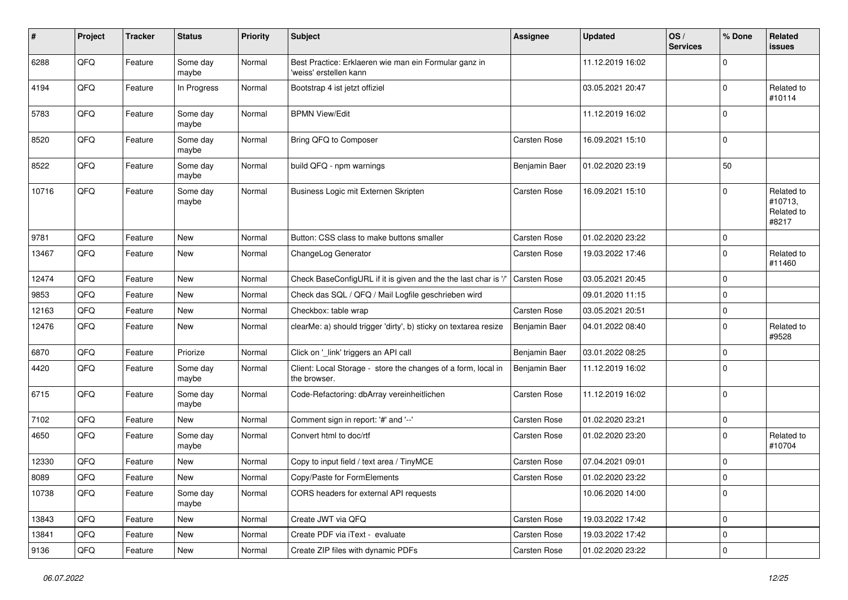| #     | Project | <b>Tracker</b> | <b>Status</b>     | <b>Priority</b> | <b>Subject</b>                                                                  | <b>Assignee</b>     | <b>Updated</b>   | OS/<br><b>Services</b> | % Done         | Related<br>issues                            |
|-------|---------|----------------|-------------------|-----------------|---------------------------------------------------------------------------------|---------------------|------------------|------------------------|----------------|----------------------------------------------|
| 6288  | QFQ     | Feature        | Some day<br>maybe | Normal          | Best Practice: Erklaeren wie man ein Formular ganz in<br>'weiss' erstellen kann |                     | 11.12.2019 16:02 |                        | $\Omega$       |                                              |
| 4194  | QFQ     | Feature        | In Progress       | Normal          | Bootstrap 4 ist jetzt offiziel                                                  |                     | 03.05.2021 20:47 |                        | 0              | Related to<br>#10114                         |
| 5783  | QFQ     | Feature        | Some day<br>maybe | Normal          | <b>BPMN View/Edit</b>                                                           |                     | 11.12.2019 16:02 |                        | $\Omega$       |                                              |
| 8520  | QFQ     | Feature        | Some day<br>maybe | Normal          | Bring QFQ to Composer                                                           | <b>Carsten Rose</b> | 16.09.2021 15:10 |                        | 0              |                                              |
| 8522  | QFQ     | Feature        | Some day<br>maybe | Normal          | build QFQ - npm warnings                                                        | Benjamin Baer       | 01.02.2020 23:19 |                        | 50             |                                              |
| 10716 | QFQ     | Feature        | Some day<br>maybe | Normal          | Business Logic mit Externen Skripten                                            | Carsten Rose        | 16.09.2021 15:10 |                        | $\Omega$       | Related to<br>#10713,<br>Related to<br>#8217 |
| 9781  | QFQ     | Feature        | New               | Normal          | Button: CSS class to make buttons smaller                                       | <b>Carsten Rose</b> | 01.02.2020 23:22 |                        | 0              |                                              |
| 13467 | QFQ     | Feature        | <b>New</b>        | Normal          | ChangeLog Generator                                                             | Carsten Rose        | 19.03.2022 17:46 |                        | 0              | Related to<br>#11460                         |
| 12474 | QFQ     | Feature        | <b>New</b>        | Normal          | Check BaseConfigURL if it is given and the the last char is '/'                 | Carsten Rose        | 03.05.2021 20:45 |                        | 0              |                                              |
| 9853  | QFQ     | Feature        | New               | Normal          | Check das SQL / QFQ / Mail Logfile geschrieben wird                             |                     | 09.01.2020 11:15 |                        | 0              |                                              |
| 12163 | QFQ     | Feature        | New               | Normal          | Checkbox: table wrap                                                            | <b>Carsten Rose</b> | 03.05.2021 20:51 |                        | 0              |                                              |
| 12476 | QFQ     | Feature        | New               | Normal          | clearMe: a) should trigger 'dirty', b) sticky on textarea resize                | Benjamin Baer       | 04.01.2022 08:40 |                        | $\Omega$       | Related to<br>#9528                          |
| 6870  | QFQ     | Feature        | Priorize          | Normal          | Click on '_link' triggers an API call                                           | Benjamin Baer       | 03.01.2022 08:25 |                        | $\Omega$       |                                              |
| 4420  | QFQ     | Feature        | Some day<br>maybe | Normal          | Client: Local Storage - store the changes of a form, local in<br>the browser.   | Benjamin Baer       | 11.12.2019 16:02 |                        | $\Omega$       |                                              |
| 6715  | QFQ     | Feature        | Some day<br>maybe | Normal          | Code-Refactoring: dbArray vereinheitlichen                                      | Carsten Rose        | 11.12.2019 16:02 |                        | $\Omega$       |                                              |
| 7102  | QFQ     | Feature        | <b>New</b>        | Normal          | Comment sign in report: '#' and '--'                                            | Carsten Rose        | 01.02.2020 23:21 |                        | $\mathbf 0$    |                                              |
| 4650  | QFQ     | Feature        | Some day<br>maybe | Normal          | Convert html to doc/rtf                                                         | Carsten Rose        | 01.02.2020 23:20 |                        | 0              | Related to<br>#10704                         |
| 12330 | QFQ     | Feature        | New               | Normal          | Copy to input field / text area / TinyMCE                                       | Carsten Rose        | 07.04.2021 09:01 |                        | 0              |                                              |
| 8089  | QFQ     | Feature        | New               | Normal          | Copy/Paste for FormElements                                                     | Carsten Rose        | 01.02.2020 23:22 |                        | $\overline{0}$ |                                              |
| 10738 | QFQ     | Feature        | Some day<br>maybe | Normal          | CORS headers for external API requests                                          |                     | 10.06.2020 14:00 |                        | 0              |                                              |
| 13843 | QFQ     | Feature        | New               | Normal          | Create JWT via QFQ                                                              | Carsten Rose        | 19.03.2022 17:42 |                        | $\mathbf 0$    |                                              |
| 13841 | QFQ     | Feature        | New               | Normal          | Create PDF via iText - evaluate                                                 | Carsten Rose        | 19.03.2022 17:42 |                        | 0              |                                              |
| 9136  | QFQ     | Feature        | New               | Normal          | Create ZIP files with dynamic PDFs                                              | Carsten Rose        | 01.02.2020 23:22 |                        | $\mathbf 0$    |                                              |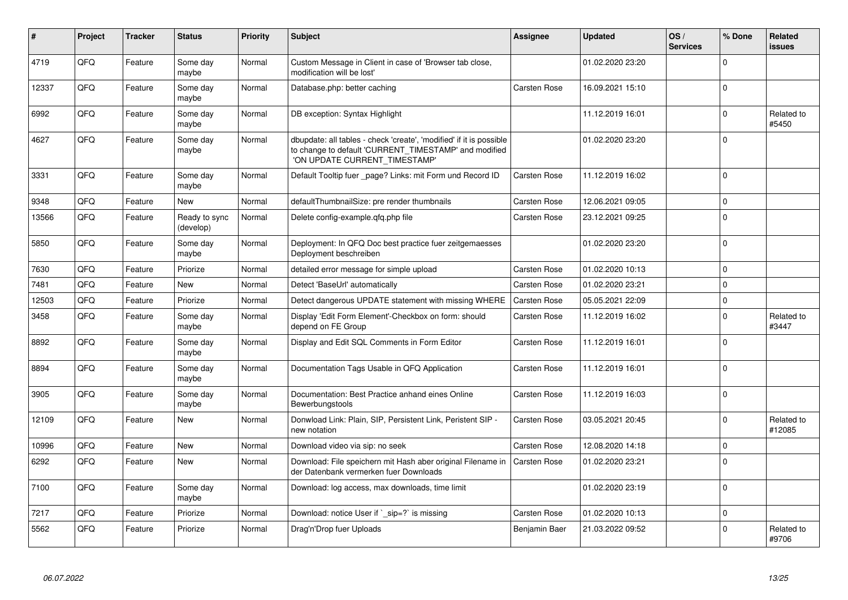| #     | Project | Tracker | <b>Status</b>              | <b>Priority</b> | <b>Subject</b>                                                                                                                                                | Assignee            | <b>Updated</b>   | OS/<br><b>Services</b> | % Done      | Related<br><b>issues</b> |
|-------|---------|---------|----------------------------|-----------------|---------------------------------------------------------------------------------------------------------------------------------------------------------------|---------------------|------------------|------------------------|-------------|--------------------------|
| 4719  | QFQ     | Feature | Some day<br>maybe          | Normal          | Custom Message in Client in case of 'Browser tab close,<br>modification will be lost'                                                                         |                     | 01.02.2020 23:20 |                        | $\Omega$    |                          |
| 12337 | QFQ     | Feature | Some day<br>maybe          | Normal          | Database.php: better caching                                                                                                                                  | <b>Carsten Rose</b> | 16.09.2021 15:10 |                        | $\Omega$    |                          |
| 6992  | QFQ     | Feature | Some day<br>maybe          | Normal          | DB exception: Syntax Highlight                                                                                                                                |                     | 11.12.2019 16:01 |                        | $\Omega$    | Related to<br>#5450      |
| 4627  | QFQ     | Feature | Some day<br>maybe          | Normal          | dbupdate: all tables - check 'create', 'modified' if it is possible<br>to change to default 'CURRENT_TIMESTAMP' and modified<br>'ON UPDATE CURRENT_TIMESTAMP' |                     | 01.02.2020 23:20 |                        | $\Omega$    |                          |
| 3331  | QFQ     | Feature | Some day<br>maybe          | Normal          | Default Tooltip fuer _page? Links: mit Form und Record ID                                                                                                     | Carsten Rose        | 11.12.2019 16:02 |                        | $\Omega$    |                          |
| 9348  | QFQ     | Feature | <b>New</b>                 | Normal          | defaultThumbnailSize: pre render thumbnails                                                                                                                   | Carsten Rose        | 12.06.2021 09:05 |                        | $\Omega$    |                          |
| 13566 | QFQ     | Feature | Ready to sync<br>(develop) | Normal          | Delete config-example.gfg.php file                                                                                                                            | Carsten Rose        | 23.12.2021 09:25 |                        | $\mathbf 0$ |                          |
| 5850  | QFQ     | Feature | Some day<br>maybe          | Normal          | Deployment: In QFQ Doc best practice fuer zeitgemaesses<br>Deployment beschreiben                                                                             |                     | 01.02.2020 23:20 |                        | $\Omega$    |                          |
| 7630  | QFQ     | Feature | Priorize                   | Normal          | detailed error message for simple upload                                                                                                                      | Carsten Rose        | 01.02.2020 10:13 |                        | $\Omega$    |                          |
| 7481  | QFQ     | Feature | New                        | Normal          | Detect 'BaseUrl' automatically                                                                                                                                | Carsten Rose        | 01.02.2020 23:21 |                        | 0           |                          |
| 12503 | QFQ     | Feature | Priorize                   | Normal          | Detect dangerous UPDATE statement with missing WHERE                                                                                                          | Carsten Rose        | 05.05.2021 22:09 |                        | $\Omega$    |                          |
| 3458  | QFQ     | Feature | Some day<br>maybe          | Normal          | Display 'Edit Form Element'-Checkbox on form: should<br>depend on FE Group                                                                                    | Carsten Rose        | 11.12.2019 16:02 |                        | $\Omega$    | Related to<br>#3447      |
| 8892  | QFQ     | Feature | Some day<br>maybe          | Normal          | Display and Edit SQL Comments in Form Editor                                                                                                                  | Carsten Rose        | 11.12.2019 16:01 |                        | $\Omega$    |                          |
| 8894  | QFQ     | Feature | Some day<br>maybe          | Normal          | Documentation Tags Usable in QFQ Application                                                                                                                  | Carsten Rose        | 11.12.2019 16:01 |                        | $\Omega$    |                          |
| 3905  | QFQ     | Feature | Some day<br>maybe          | Normal          | Documentation: Best Practice anhand eines Online<br>Bewerbungstools                                                                                           | Carsten Rose        | 11.12.2019 16:03 |                        | $\Omega$    |                          |
| 12109 | QFQ     | Feature | <b>New</b>                 | Normal          | Donwload Link: Plain, SIP, Persistent Link, Peristent SIP -<br>new notation                                                                                   | Carsten Rose        | 03.05.2021 20:45 |                        | $\Omega$    | Related to<br>#12085     |
| 10996 | QFQ     | Feature | New                        | Normal          | Download video via sip: no seek                                                                                                                               | Carsten Rose        | 12.08.2020 14:18 |                        | $\Omega$    |                          |
| 6292  | QFQ     | Feature | <b>New</b>                 | Normal          | Download: File speichern mit Hash aber original Filename in<br>der Datenbank vermerken fuer Downloads                                                         | <b>Carsten Rose</b> | 01.02.2020 23:21 |                        | $\Omega$    |                          |
| 7100  | QFQ     | Feature | Some day<br>maybe          | Normal          | Download: log access, max downloads, time limit                                                                                                               |                     | 01.02.2020 23:19 |                        | $\Omega$    |                          |
| 7217  | QFQ     | Feature | Priorize                   | Normal          | Download: notice User if ` sip=?` is missing                                                                                                                  | Carsten Rose        | 01.02.2020 10:13 |                        | $\mathbf 0$ |                          |
| 5562  | QFQ     | Feature | Priorize                   | Normal          | Drag'n'Drop fuer Uploads                                                                                                                                      | Benjamin Baer       | 21.03.2022 09:52 |                        | $\Omega$    | Related to<br>#9706      |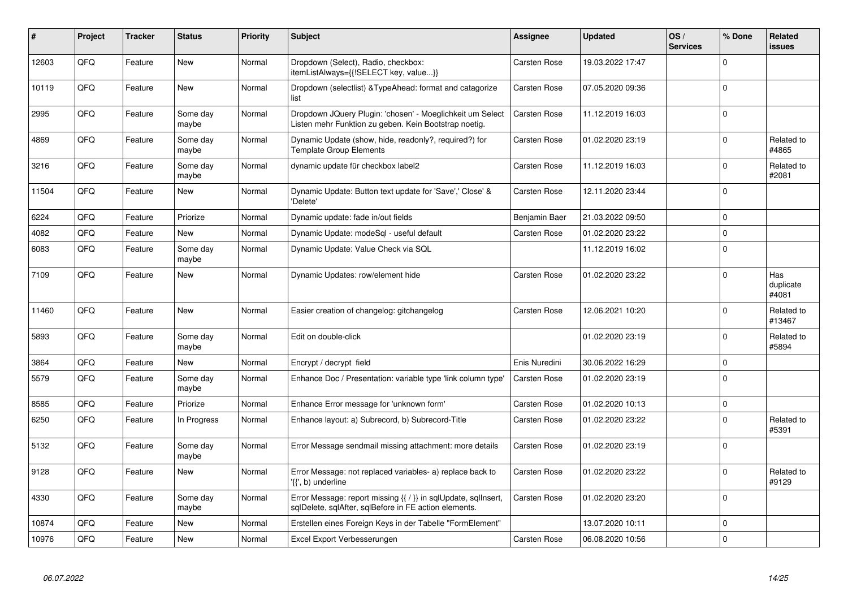| #     | Project | <b>Tracker</b> | <b>Status</b>     | <b>Priority</b> | <b>Subject</b>                                                                                                          | <b>Assignee</b> | <b>Updated</b>   | OS/<br><b>Services</b> | % Done      | Related<br><b>issues</b>  |
|-------|---------|----------------|-------------------|-----------------|-------------------------------------------------------------------------------------------------------------------------|-----------------|------------------|------------------------|-------------|---------------------------|
| 12603 | QFQ     | Feature        | <b>New</b>        | Normal          | Dropdown (Select), Radio, checkbox:<br>itemListAlways={{!SELECT key, value}}                                            | Carsten Rose    | 19.03.2022 17:47 |                        | $\Omega$    |                           |
| 10119 | QFQ     | Feature        | <b>New</b>        | Normal          | Dropdown (selectlist) & Type Ahead: format and catagorize<br>list                                                       | Carsten Rose    | 07.05.2020 09:36 |                        | $\Omega$    |                           |
| 2995  | QFQ     | Feature        | Some day<br>maybe | Normal          | Dropdown JQuery Plugin: 'chosen' - Moeglichkeit um Select<br>Listen mehr Funktion zu geben. Kein Bootstrap noetig.      | Carsten Rose    | 11.12.2019 16:03 |                        | $\Omega$    |                           |
| 4869  | QFQ     | Feature        | Some day<br>maybe | Normal          | Dynamic Update (show, hide, readonly?, required?) for<br><b>Template Group Elements</b>                                 | Carsten Rose    | 01.02.2020 23:19 |                        | $\Omega$    | Related to<br>#4865       |
| 3216  | QFQ     | Feature        | Some day<br>maybe | Normal          | dynamic update für checkbox label2                                                                                      | Carsten Rose    | 11.12.2019 16:03 |                        | $\Omega$    | Related to<br>#2081       |
| 11504 | QFQ     | Feature        | New               | Normal          | Dynamic Update: Button text update for 'Save',' Close' &<br>'Delete'                                                    | Carsten Rose    | 12.11.2020 23:44 |                        | $\mathbf 0$ |                           |
| 6224  | QFQ     | Feature        | Priorize          | Normal          | Dynamic update: fade in/out fields                                                                                      | Benjamin Baer   | 21.03.2022 09:50 |                        | $\Omega$    |                           |
| 4082  | QFQ     | Feature        | New               | Normal          | Dynamic Update: modeSgl - useful default                                                                                | Carsten Rose    | 01.02.2020 23:22 |                        | $\mathbf 0$ |                           |
| 6083  | QFQ     | Feature        | Some day<br>maybe | Normal          | Dynamic Update: Value Check via SQL                                                                                     |                 | 11.12.2019 16:02 |                        | $\Omega$    |                           |
| 7109  | QFQ     | Feature        | <b>New</b>        | Normal          | Dynamic Updates: row/element hide                                                                                       | Carsten Rose    | 01.02.2020 23:22 |                        | $\Omega$    | Has<br>duplicate<br>#4081 |
| 11460 | QFQ     | Feature        | New               | Normal          | Easier creation of changelog: gitchangelog                                                                              | Carsten Rose    | 12.06.2021 10:20 |                        | $\Omega$    | Related to<br>#13467      |
| 5893  | QFQ     | Feature        | Some day<br>maybe | Normal          | Edit on double-click                                                                                                    |                 | 01.02.2020 23:19 |                        | $\Omega$    | Related to<br>#5894       |
| 3864  | QFQ     | Feature        | New               | Normal          | Encrypt / decrypt field                                                                                                 | Enis Nuredini   | 30.06.2022 16:29 |                        | $\Omega$    |                           |
| 5579  | QFQ     | Feature        | Some day<br>maybe | Normal          | Enhance Doc / Presentation: variable type 'link column type'                                                            | Carsten Rose    | 01.02.2020 23:19 |                        | $\Omega$    |                           |
| 8585  | QFQ     | Feature        | Priorize          | Normal          | Enhance Error message for 'unknown form'                                                                                | Carsten Rose    | 01.02.2020 10:13 |                        | $\Omega$    |                           |
| 6250  | QFQ     | Feature        | In Progress       | Normal          | Enhance layout: a) Subrecord, b) Subrecord-Title                                                                        | Carsten Rose    | 01.02.2020 23:22 |                        | $\Omega$    | Related to<br>#5391       |
| 5132  | QFQ     | Feature        | Some day<br>maybe | Normal          | Error Message sendmail missing attachment: more details                                                                 | Carsten Rose    | 01.02.2020 23:19 |                        | $\Omega$    |                           |
| 9128  | QFQ     | Feature        | New               | Normal          | Error Message: not replaced variables- a) replace back to<br>'{{', b) underline                                         | Carsten Rose    | 01.02.2020 23:22 |                        | $\Omega$    | Related to<br>#9129       |
| 4330  | QFQ     | Feature        | Some day<br>maybe | Normal          | Error Message: report missing {{ / }} in sqlUpdate, sqlInsert,<br>sqlDelete, sqlAfter, sqlBefore in FE action elements. | Carsten Rose    | 01.02.2020 23:20 |                        | $\Omega$    |                           |
| 10874 | QFQ     | Feature        | <b>New</b>        | Normal          | Erstellen eines Foreign Keys in der Tabelle "FormElement"                                                               |                 | 13.07.2020 10:11 |                        | $\Omega$    |                           |
| 10976 | QFQ     | Feature        | <b>New</b>        | Normal          | Excel Export Verbesserungen                                                                                             | Carsten Rose    | 06.08.2020 10:56 |                        | $\Omega$    |                           |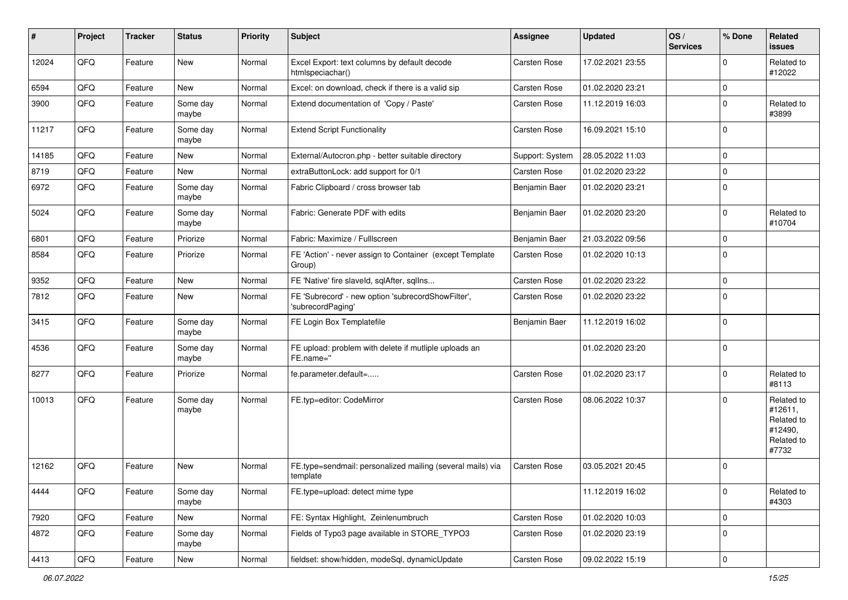| ∦     | Project        | <b>Tracker</b> | <b>Status</b>     | <b>Priority</b> | Subject                                                                 | <b>Assignee</b> | <b>Updated</b>   | OS/<br><b>Services</b> | % Done      | Related<br>issues                                                     |
|-------|----------------|----------------|-------------------|-----------------|-------------------------------------------------------------------------|-----------------|------------------|------------------------|-------------|-----------------------------------------------------------------------|
| 12024 | QFQ            | Feature        | New               | Normal          | Excel Export: text columns by default decode<br>htmlspeciachar()        | Carsten Rose    | 17.02.2021 23:55 |                        | 0           | Related to<br>#12022                                                  |
| 6594  | QFQ            | Feature        | <b>New</b>        | Normal          | Excel: on download, check if there is a valid sip                       | Carsten Rose    | 01.02.2020 23:21 |                        | $\mathbf 0$ |                                                                       |
| 3900  | QFQ            | Feature        | Some day<br>maybe | Normal          | Extend documentation of 'Copy / Paste'                                  | Carsten Rose    | 11.12.2019 16:03 |                        | $\Omega$    | Related to<br>#3899                                                   |
| 11217 | QFQ            | Feature        | Some day<br>maybe | Normal          | <b>Extend Script Functionality</b>                                      | Carsten Rose    | 16.09.2021 15:10 |                        | $\Omega$    |                                                                       |
| 14185 | QFQ            | Feature        | New               | Normal          | External/Autocron.php - better suitable directory                       | Support: System | 28.05.2022 11:03 |                        | $\Omega$    |                                                                       |
| 8719  | QFQ            | Feature        | <b>New</b>        | Normal          | extraButtonLock: add support for 0/1                                    | Carsten Rose    | 01.02.2020 23:22 |                        | $\Omega$    |                                                                       |
| 6972  | QFQ            | Feature        | Some day<br>maybe | Normal          | Fabric Clipboard / cross browser tab                                    | Benjamin Baer   | 01.02.2020 23:21 |                        | $\Omega$    |                                                                       |
| 5024  | QFQ            | Feature        | Some day<br>maybe | Normal          | Fabric: Generate PDF with edits                                         | Benjamin Baer   | 01.02.2020 23:20 |                        | $\Omega$    | Related to<br>#10704                                                  |
| 6801  | QFQ            | Feature        | Priorize          | Normal          | Fabric: Maximize / FullIscreen                                          | Benjamin Baer   | 21.03.2022 09:56 |                        | $\mathbf 0$ |                                                                       |
| 8584  | QFQ            | Feature        | Priorize          | Normal          | FE 'Action' - never assign to Container (except Template<br>Group)      | Carsten Rose    | 01.02.2020 10:13 |                        | $\mathbf 0$ |                                                                       |
| 9352  | QFQ            | Feature        | <b>New</b>        | Normal          | FE 'Native' fire slaveld, sqlAfter, sqlIns                              | Carsten Rose    | 01.02.2020 23:22 |                        | $\mathbf 0$ |                                                                       |
| 7812  | QFQ            | Feature        | New               | Normal          | FE 'Subrecord' - new option 'subrecordShowFilter',<br>'subrecordPaging' | Carsten Rose    | 01.02.2020 23:22 |                        | $\Omega$    |                                                                       |
| 3415  | QFQ            | Feature        | Some day<br>maybe | Normal          | FE Login Box Templatefile                                               | Benjamin Baer   | 11.12.2019 16:02 |                        | $\mathbf 0$ |                                                                       |
| 4536  | QFQ            | Feature        | Some day<br>maybe | Normal          | FE upload: problem with delete if mutliple uploads an<br>FE.name="      |                 | 01.02.2020 23:20 |                        | $\Omega$    |                                                                       |
| 8277  | QFQ            | Feature        | Priorize          | Normal          | fe.parameter.default=                                                   | Carsten Rose    | 01.02.2020 23:17 |                        | $\Omega$    | Related to<br>#8113                                                   |
| 10013 | QFQ            | Feature        | Some day<br>maybe | Normal          | FE.typ=editor: CodeMirror                                               | Carsten Rose    | 08.06.2022 10:37 |                        | $\Omega$    | Related to<br>#12611,<br>Related to<br>#12490,<br>Related to<br>#7732 |
| 12162 | QFQ            | Feature        | New               | Normal          | FE.type=sendmail: personalized mailing (several mails) via<br>template  | Carsten Rose    | 03.05.2021 20:45 |                        | $\Omega$    |                                                                       |
| 4444  | QFQ            | Feature        | Some day<br>maybe | Normal          | FE.type=upload: detect mime type                                        |                 | 11.12.2019 16:02 |                        | $\mathbf 0$ | Related to<br>#4303                                                   |
| 7920  | QFG            | Feature        | New               | Normal          | FE: Syntax Highlight, Zeinlenumbruch                                    | Carsten Rose    | 01.02.2020 10:03 |                        | 0           |                                                                       |
| 4872  | QFQ            | Feature        | Some day<br>maybe | Normal          | Fields of Typo3 page available in STORE_TYPO3                           | Carsten Rose    | 01.02.2020 23:19 |                        | 0           |                                                                       |
| 4413  | $\mathsf{QFQ}$ | Feature        | New               | Normal          | fieldset: show/hidden, modeSql, dynamicUpdate                           | Carsten Rose    | 09.02.2022 15:19 |                        | $\mathbf 0$ |                                                                       |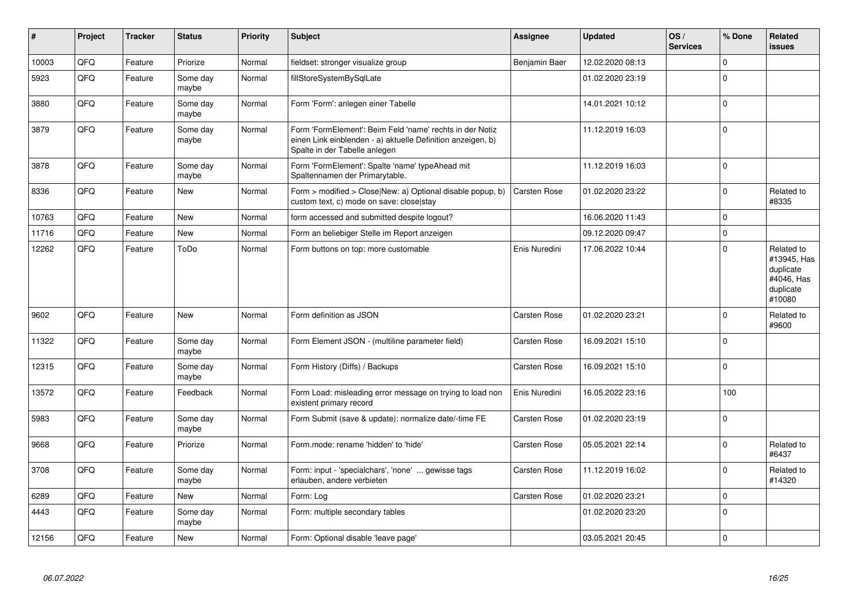| $\sharp$ | Project | <b>Tracker</b> | <b>Status</b>     | <b>Priority</b> | <b>Subject</b>                                                                                                                                           | <b>Assignee</b> | <b>Updated</b>   | OS/<br><b>Services</b> | % Done      | Related<br><b>issues</b>                                                    |
|----------|---------|----------------|-------------------|-----------------|----------------------------------------------------------------------------------------------------------------------------------------------------------|-----------------|------------------|------------------------|-------------|-----------------------------------------------------------------------------|
| 10003    | QFQ     | Feature        | Priorize          | Normal          | fieldset: stronger visualize group                                                                                                                       | Benjamin Baer   | 12.02.2020 08:13 |                        | $\Omega$    |                                                                             |
| 5923     | QFQ     | Feature        | Some day<br>maybe | Normal          | fillStoreSystemBySqlLate                                                                                                                                 |                 | 01.02.2020 23:19 |                        | $\Omega$    |                                                                             |
| 3880     | QFQ     | Feature        | Some day<br>maybe | Normal          | Form 'Form': anlegen einer Tabelle                                                                                                                       |                 | 14.01.2021 10:12 |                        | $\Omega$    |                                                                             |
| 3879     | QFQ     | Feature        | Some day<br>maybe | Normal          | Form 'FormElement': Beim Feld 'name' rechts in der Notiz<br>einen Link einblenden - a) aktuelle Definition anzeigen, b)<br>Spalte in der Tabelle anlegen |                 | 11.12.2019 16:03 |                        | $\mathbf 0$ |                                                                             |
| 3878     | QFQ     | Feature        | Some day<br>maybe | Normal          | Form 'FormElement': Spalte 'name' typeAhead mit<br>Spaltennamen der Primarytable.                                                                        |                 | 11.12.2019 16:03 |                        | $\mathbf 0$ |                                                                             |
| 8336     | QFQ     | Feature        | <b>New</b>        | Normal          | Form > modified > Close New: a) Optional disable popup, b)<br>custom text, c) mode on save: close stay                                                   | Carsten Rose    | 01.02.2020 23:22 |                        | $\Omega$    | Related to<br>#8335                                                         |
| 10763    | QFQ     | Feature        | <b>New</b>        | Normal          | form accessed and submitted despite logout?                                                                                                              |                 | 16.06.2020 11:43 |                        | $\Omega$    |                                                                             |
| 11716    | QFQ     | Feature        | <b>New</b>        | Normal          | Form an beliebiger Stelle im Report anzeigen                                                                                                             |                 | 09.12.2020 09:47 |                        | $\Omega$    |                                                                             |
| 12262    | QFQ     | Feature        | ToDo              | Normal          | Form buttons on top: more customable                                                                                                                     | Enis Nuredini   | 17.06.2022 10:44 |                        | $\Omega$    | Related to<br>#13945, Has<br>duplicate<br>#4046, Has<br>duplicate<br>#10080 |
| 9602     | QFQ     | Feature        | New               | Normal          | Form definition as JSON                                                                                                                                  | Carsten Rose    | 01.02.2020 23:21 |                        | $\Omega$    | Related to<br>#9600                                                         |
| 11322    | QFQ     | Feature        | Some day<br>maybe | Normal          | Form Element JSON - (multiline parameter field)                                                                                                          | Carsten Rose    | 16.09.2021 15:10 |                        | $\Omega$    |                                                                             |
| 12315    | QFQ     | Feature        | Some day<br>maybe | Normal          | Form History (Diffs) / Backups                                                                                                                           | Carsten Rose    | 16.09.2021 15:10 |                        | $\Omega$    |                                                                             |
| 13572    | QFQ     | Feature        | Feedback          | Normal          | Form Load: misleading error message on trying to load non<br>existent primary record                                                                     | Enis Nuredini   | 16.05.2022 23:16 |                        | 100         |                                                                             |
| 5983     | QFQ     | Feature        | Some day<br>maybe | Normal          | Form Submit (save & update): normalize date/-time FE                                                                                                     | Carsten Rose    | 01.02.2020 23:19 |                        | $\Omega$    |                                                                             |
| 9668     | QFQ     | Feature        | Priorize          | Normal          | Form.mode: rename 'hidden' to 'hide'                                                                                                                     | Carsten Rose    | 05.05.2021 22:14 |                        | $\Omega$    | Related to<br>#6437                                                         |
| 3708     | QFQ     | Feature        | Some day<br>maybe | Normal          | Form: input - 'specialchars', 'none'  gewisse tags<br>erlauben, andere verbieten                                                                         | Carsten Rose    | 11.12.2019 16:02 |                        | $\Omega$    | Related to<br>#14320                                                        |
| 6289     | QFQ     | Feature        | <b>New</b>        | Normal          | Form: Log                                                                                                                                                | Carsten Rose    | 01.02.2020 23:21 |                        | $\mathbf 0$ |                                                                             |
| 4443     | QFQ     | Feature        | Some day<br>maybe | Normal          | Form: multiple secondary tables                                                                                                                          |                 | 01.02.2020 23:20 |                        | $\Omega$    |                                                                             |
| 12156    | QFQ     | Feature        | <b>New</b>        | Normal          | Form: Optional disable 'leave page'                                                                                                                      |                 | 03.05.2021 20:45 |                        | $\Omega$    |                                                                             |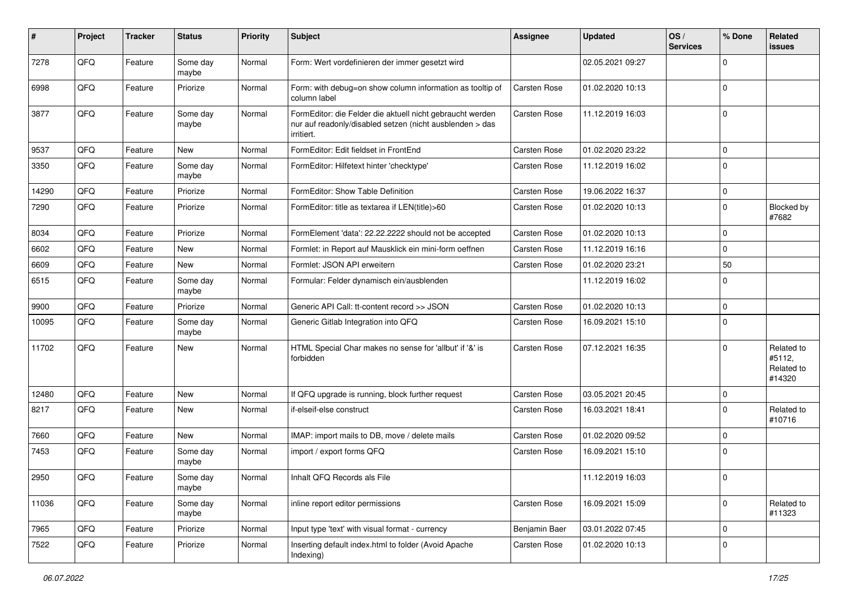| $\sharp$ | Project | <b>Tracker</b> | <b>Status</b>     | <b>Priority</b> | <b>Subject</b>                                                                                                                      | <b>Assignee</b>     | <b>Updated</b>   | OS/<br><b>Services</b> | % Done      | Related<br>issues                            |
|----------|---------|----------------|-------------------|-----------------|-------------------------------------------------------------------------------------------------------------------------------------|---------------------|------------------|------------------------|-------------|----------------------------------------------|
| 7278     | QFQ     | Feature        | Some day<br>maybe | Normal          | Form: Wert vordefinieren der immer gesetzt wird                                                                                     |                     | 02.05.2021 09:27 |                        | $\Omega$    |                                              |
| 6998     | QFQ     | Feature        | Priorize          | Normal          | Form: with debug=on show column information as tooltip of<br>column label                                                           | Carsten Rose        | 01.02.2020 10:13 |                        | 0           |                                              |
| 3877     | QFQ     | Feature        | Some day<br>maybe | Normal          | FormEditor: die Felder die aktuell nicht gebraucht werden<br>nur auf readonly/disabled setzen (nicht ausblenden > das<br>irritiert. | Carsten Rose        | 11.12.2019 16:03 |                        | 0           |                                              |
| 9537     | QFQ     | Feature        | <b>New</b>        | Normal          | FormEditor: Edit fieldset in FrontEnd                                                                                               | Carsten Rose        | 01.02.2020 23:22 |                        | 0           |                                              |
| 3350     | QFQ     | Feature        | Some day<br>maybe | Normal          | FormEditor: Hilfetext hinter 'checktype'                                                                                            | Carsten Rose        | 11.12.2019 16:02 |                        | $\Omega$    |                                              |
| 14290    | QFQ     | Feature        | Priorize          | Normal          | FormEditor: Show Table Definition                                                                                                   | Carsten Rose        | 19.06.2022 16:37 |                        | $\mathbf 0$ |                                              |
| 7290     | QFQ     | Feature        | Priorize          | Normal          | FormEditor: title as textarea if LEN(title)>60                                                                                      | Carsten Rose        | 01.02.2020 10:13 |                        | 0           | Blocked by<br>#7682                          |
| 8034     | QFQ     | Feature        | Priorize          | Normal          | FormElement 'data': 22.22.2222 should not be accepted                                                                               | Carsten Rose        | 01.02.2020 10:13 |                        | 0           |                                              |
| 6602     | QFQ     | Feature        | New               | Normal          | Formlet: in Report auf Mausklick ein mini-form oeffnen                                                                              | Carsten Rose        | 11.12.2019 16:16 |                        | $\mathbf 0$ |                                              |
| 6609     | QFQ     | Feature        | New               | Normal          | Formlet: JSON API erweitern                                                                                                         | Carsten Rose        | 01.02.2020 23:21 |                        | 50          |                                              |
| 6515     | QFQ     | Feature        | Some day<br>maybe | Normal          | Formular: Felder dynamisch ein/ausblenden                                                                                           |                     | 11.12.2019 16:02 |                        | 0           |                                              |
| 9900     | QFQ     | Feature        | Priorize          | Normal          | Generic API Call: tt-content record >> JSON                                                                                         | Carsten Rose        | 01.02.2020 10:13 |                        | 0           |                                              |
| 10095    | QFQ     | Feature        | Some day<br>maybe | Normal          | Generic Gitlab Integration into QFQ                                                                                                 | Carsten Rose        | 16.09.2021 15:10 |                        | $\Omega$    |                                              |
| 11702    | QFQ     | Feature        | <b>New</b>        | Normal          | HTML Special Char makes no sense for 'allbut' if '&' is<br>forbidden                                                                | Carsten Rose        | 07.12.2021 16:35 |                        | $\Omega$    | Related to<br>#5112,<br>Related to<br>#14320 |
| 12480    | QFQ     | Feature        | <b>New</b>        | Normal          | If QFQ upgrade is running, block further request                                                                                    | <b>Carsten Rose</b> | 03.05.2021 20:45 |                        | 0           |                                              |
| 8217     | QFQ     | Feature        | <b>New</b>        | Normal          | if-elseif-else construct                                                                                                            | Carsten Rose        | 16.03.2021 18:41 |                        | 0           | Related to<br>#10716                         |
| 7660     | QFQ     | Feature        | New               | Normal          | IMAP: import mails to DB, move / delete mails                                                                                       | Carsten Rose        | 01.02.2020 09:52 |                        | $\Omega$    |                                              |
| 7453     | QFQ     | Feature        | Some day<br>maybe | Normal          | import / export forms QFQ                                                                                                           | Carsten Rose        | 16.09.2021 15:10 |                        | $\Omega$    |                                              |
| 2950     | QFQ     | Feature        | Some day<br>maybe | Normal          | Inhalt QFQ Records als File                                                                                                         |                     | 11.12.2019 16:03 |                        | 0           |                                              |
| 11036    | QFQ     | Feature        | Some day<br>maybe | Normal          | inline report editor permissions                                                                                                    | Carsten Rose        | 16.09.2021 15:09 |                        | $\Omega$    | Related to<br>#11323                         |
| 7965     | QFQ     | Feature        | Priorize          | Normal          | Input type 'text' with visual format - currency                                                                                     | Benjamin Baer       | 03.01.2022 07:45 |                        | 0           |                                              |
| 7522     | QFQ     | Feature        | Priorize          | Normal          | Inserting default index.html to folder (Avoid Apache<br>Indexing)                                                                   | Carsten Rose        | 01.02.2020 10:13 |                        | 0           |                                              |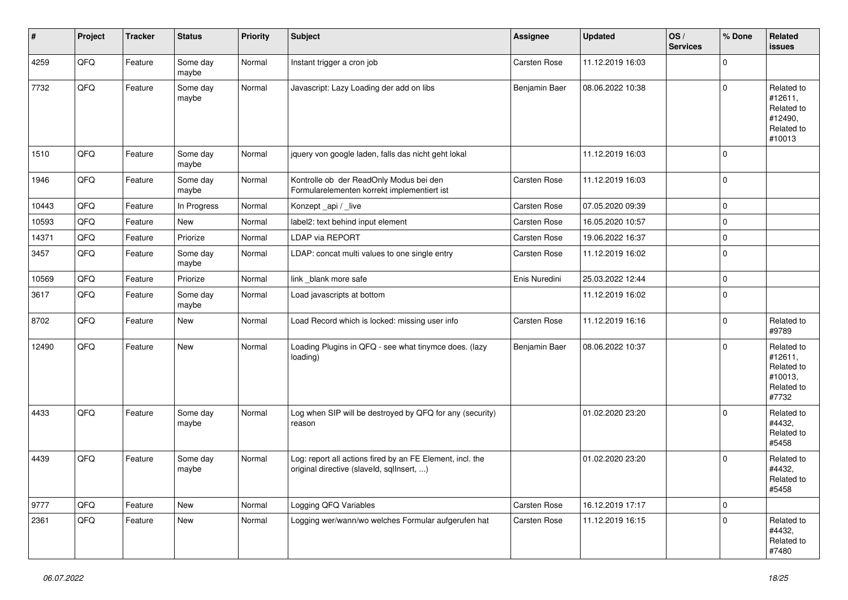| $\sharp$ | Project | <b>Tracker</b> | <b>Status</b>     | <b>Priority</b> | Subject                                                                                                | <b>Assignee</b> | Updated          | OS/<br><b>Services</b> | % Done      | Related<br><b>issues</b>                                               |
|----------|---------|----------------|-------------------|-----------------|--------------------------------------------------------------------------------------------------------|-----------------|------------------|------------------------|-------------|------------------------------------------------------------------------|
| 4259     | QFQ     | Feature        | Some day<br>maybe | Normal          | Instant trigger a cron job                                                                             | Carsten Rose    | 11.12.2019 16:03 |                        | $\Omega$    |                                                                        |
| 7732     | QFQ     | Feature        | Some day<br>maybe | Normal          | Javascript: Lazy Loading der add on libs                                                               | Benjamin Baer   | 08.06.2022 10:38 |                        | $\mathbf 0$ | Related to<br>#12611,<br>Related to<br>#12490,<br>Related to<br>#10013 |
| 1510     | QFQ     | Feature        | Some day<br>maybe | Normal          | jquery von google laden, falls das nicht geht lokal                                                    |                 | 11.12.2019 16:03 |                        | $\mathbf 0$ |                                                                        |
| 1946     | QFQ     | Feature        | Some day<br>maybe | Normal          | Kontrolle ob der ReadOnly Modus bei den<br>Formularelementen korrekt implementiert ist                 | Carsten Rose    | 11.12.2019 16:03 |                        | $\Omega$    |                                                                        |
| 10443    | QFQ     | Feature        | In Progress       | Normal          | Konzept_api / _live                                                                                    | Carsten Rose    | 07.05.2020 09:39 |                        | $\mathbf 0$ |                                                                        |
| 10593    | QFQ     | Feature        | New               | Normal          | label2: text behind input element                                                                      | Carsten Rose    | 16.05.2020 10:57 |                        | $\mathbf 0$ |                                                                        |
| 14371    | QFQ     | Feature        | Priorize          | Normal          | <b>LDAP via REPORT</b>                                                                                 | Carsten Rose    | 19.06.2022 16:37 |                        | $\mathbf 0$ |                                                                        |
| 3457     | QFQ     | Feature        | Some day<br>maybe | Normal          | LDAP: concat multi values to one single entry                                                          | Carsten Rose    | 11.12.2019 16:02 |                        | $\Omega$    |                                                                        |
| 10569    | QFQ     | Feature        | Priorize          | Normal          | link _blank more safe                                                                                  | Enis Nuredini   | 25.03.2022 12:44 |                        | $\mathbf 0$ |                                                                        |
| 3617     | QFQ     | Feature        | Some day<br>maybe | Normal          | Load javascripts at bottom                                                                             |                 | 11.12.2019 16:02 |                        | $\Omega$    |                                                                        |
| 8702     | QFQ     | Feature        | New               | Normal          | Load Record which is locked: missing user info                                                         | Carsten Rose    | 11.12.2019 16:16 |                        | $\mathbf 0$ | Related to<br>#9789                                                    |
| 12490    | QFQ     | Feature        | New               | Normal          | Loading Plugins in QFQ - see what tinymce does. (lazy<br>loading)                                      | Benjamin Baer   | 08.06.2022 10:37 |                        | $\Omega$    | Related to<br>#12611,<br>Related to<br>#10013,<br>Related to<br>#7732  |
| 4433     | QFQ     | Feature        | Some day<br>maybe | Normal          | Log when SIP will be destroyed by QFQ for any (security)<br>reason                                     |                 | 01.02.2020 23:20 |                        | $\Omega$    | Related to<br>#4432,<br>Related to<br>#5458                            |
| 4439     | QFQ     | Feature        | Some day<br>maybe | Normal          | Log: report all actions fired by an FE Element, incl. the<br>original directive (slaveld, sqllnsert, ) |                 | 01.02.2020 23:20 |                        | $\Omega$    | Related to<br>#4432,<br>Related to<br>#5458                            |
| 9777     | QFQ     | Feature        | New               | Normal          | Logging QFQ Variables                                                                                  | Carsten Rose    | 16.12.2019 17:17 |                        | 0           |                                                                        |
| 2361     | QFQ     | Feature        | New               | Normal          | Logging wer/wann/wo welches Formular aufgerufen hat                                                    | Carsten Rose    | 11.12.2019 16:15 |                        | $\Omega$    | Related to<br>#4432,<br>Related to<br>#7480                            |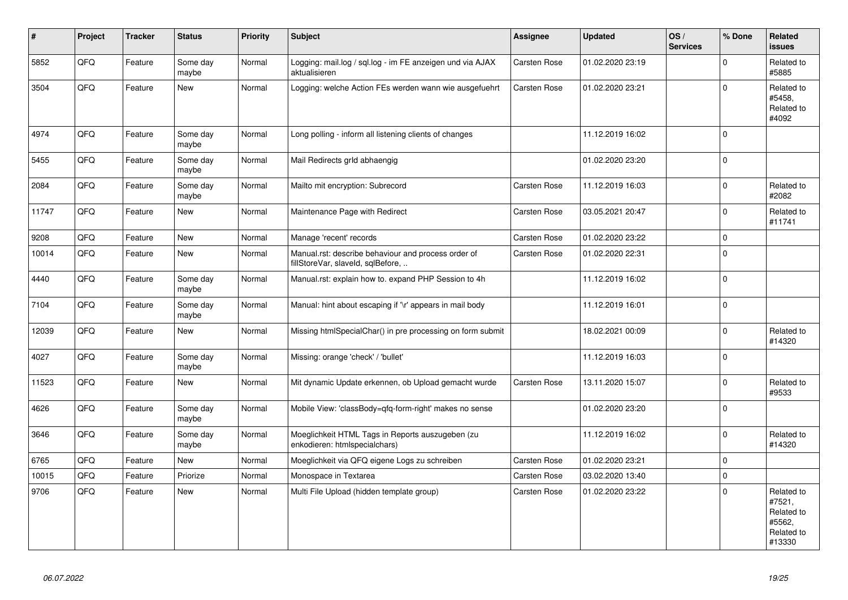| $\vert$ # | Project | <b>Tracker</b> | <b>Status</b>     | <b>Priority</b> | <b>Subject</b>                                                                           | <b>Assignee</b> | <b>Updated</b>   | OS/<br><b>Services</b> | % Done         | Related<br><b>issues</b>                                             |
|-----------|---------|----------------|-------------------|-----------------|------------------------------------------------------------------------------------------|-----------------|------------------|------------------------|----------------|----------------------------------------------------------------------|
| 5852      | QFQ     | Feature        | Some day<br>maybe | Normal          | Logging: mail.log / sql.log - im FE anzeigen und via AJAX<br>aktualisieren               | Carsten Rose    | 01.02.2020 23:19 |                        | $\Omega$       | Related to<br>#5885                                                  |
| 3504      | QFQ     | Feature        | <b>New</b>        | Normal          | Logging: welche Action FEs werden wann wie ausgefuehrt                                   | Carsten Rose    | 01.02.2020 23:21 |                        | $\Omega$       | Related to<br>#5458,<br>Related to<br>#4092                          |
| 4974      | QFQ     | Feature        | Some day<br>maybe | Normal          | Long polling - inform all listening clients of changes                                   |                 | 11.12.2019 16:02 |                        | $\Omega$       |                                                                      |
| 5455      | QFQ     | Feature        | Some day<br>maybe | Normal          | Mail Redirects grld abhaengig                                                            |                 | 01.02.2020 23:20 |                        | $\Omega$       |                                                                      |
| 2084      | QFQ     | Feature        | Some day<br>maybe | Normal          | Mailto mit encryption: Subrecord                                                         | Carsten Rose    | 11.12.2019 16:03 |                        | $\Omega$       | Related to<br>#2082                                                  |
| 11747     | QFQ     | Feature        | <b>New</b>        | Normal          | Maintenance Page with Redirect                                                           | Carsten Rose    | 03.05.2021 20:47 |                        | $\mathbf 0$    | Related to<br>#11741                                                 |
| 9208      | QFQ     | Feature        | <b>New</b>        | Normal          | Manage 'recent' records                                                                  | Carsten Rose    | 01.02.2020 23:22 |                        | $\mathbf 0$    |                                                                      |
| 10014     | QFQ     | Feature        | <b>New</b>        | Normal          | Manual.rst: describe behaviour and process order of<br>fillStoreVar, slaveId, sqlBefore, | Carsten Rose    | 01.02.2020 22:31 |                        | $\Omega$       |                                                                      |
| 4440      | QFQ     | Feature        | Some day<br>maybe | Normal          | Manual.rst: explain how to. expand PHP Session to 4h                                     |                 | 11.12.2019 16:02 |                        | $\Omega$       |                                                                      |
| 7104      | QFQ     | Feature        | Some day<br>maybe | Normal          | Manual: hint about escaping if '\r' appears in mail body                                 |                 | 11.12.2019 16:01 |                        | $\Omega$       |                                                                      |
| 12039     | QFQ     | Feature        | <b>New</b>        | Normal          | Missing htmlSpecialChar() in pre processing on form submit                               |                 | 18.02.2021 00:09 |                        | $\Omega$       | Related to<br>#14320                                                 |
| 4027      | QFQ     | Feature        | Some day<br>maybe | Normal          | Missing: orange 'check' / 'bullet'                                                       |                 | 11.12.2019 16:03 |                        | $\Omega$       |                                                                      |
| 11523     | QFQ     | Feature        | <b>New</b>        | Normal          | Mit dynamic Update erkennen, ob Upload gemacht wurde                                     | Carsten Rose    | 13.11.2020 15:07 |                        | $\Omega$       | Related to<br>#9533                                                  |
| 4626      | QFQ     | Feature        | Some day<br>maybe | Normal          | Mobile View: 'classBody=qfq-form-right' makes no sense                                   |                 | 01.02.2020 23:20 |                        | $\overline{0}$ |                                                                      |
| 3646      | QFG     | Feature        | Some day<br>maybe | Normal          | Moeglichkeit HTML Tags in Reports auszugeben (zu<br>enkodieren: htmlspecialchars)        |                 | 11.12.2019 16:02 |                        | $\Omega$       | Related to<br>#14320                                                 |
| 6765      | QFQ     | Feature        | <b>New</b>        | Normal          | Moeglichkeit via QFQ eigene Logs zu schreiben                                            | Carsten Rose    | 01.02.2020 23:21 |                        | $\Omega$       |                                                                      |
| 10015     | QFQ     | Feature        | Priorize          | Normal          | Monospace in Textarea                                                                    | Carsten Rose    | 03.02.2020 13:40 |                        | $\mathbf 0$    |                                                                      |
| 9706      | QFQ     | Feature        | <b>New</b>        | Normal          | Multi File Upload (hidden template group)                                                | Carsten Rose    | 01.02.2020 23:22 |                        | $\Omega$       | Related to<br>#7521,<br>Related to<br>#5562,<br>Related to<br>#13330 |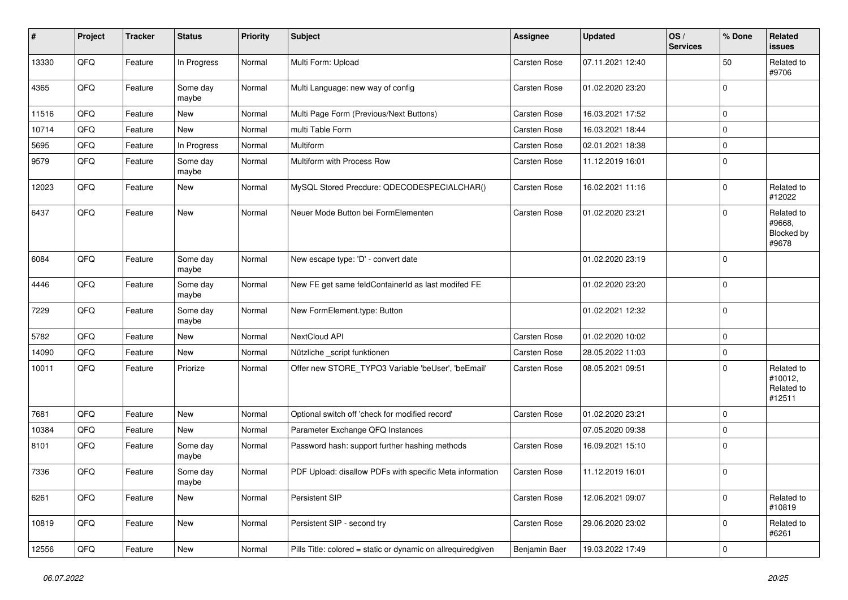| $\sharp$ | Project        | <b>Tracker</b> | <b>Status</b>     | <b>Priority</b> | <b>Subject</b>                                               | <b>Assignee</b> | <b>Updated</b>   | OS/<br><b>Services</b> | % Done      | Related<br>issues                             |
|----------|----------------|----------------|-------------------|-----------------|--------------------------------------------------------------|-----------------|------------------|------------------------|-------------|-----------------------------------------------|
| 13330    | QFQ            | Feature        | In Progress       | Normal          | Multi Form: Upload                                           | Carsten Rose    | 07.11.2021 12:40 |                        | 50          | Related to<br>#9706                           |
| 4365     | QFQ            | Feature        | Some day<br>maybe | Normal          | Multi Language: new way of config                            | Carsten Rose    | 01.02.2020 23:20 |                        | $\mathbf 0$ |                                               |
| 11516    | QFQ            | Feature        | <b>New</b>        | Normal          | Multi Page Form (Previous/Next Buttons)                      | Carsten Rose    | 16.03.2021 17:52 |                        | $\Omega$    |                                               |
| 10714    | QFQ            | Feature        | New               | Normal          | multi Table Form                                             | Carsten Rose    | 16.03.2021 18:44 |                        | $\Omega$    |                                               |
| 5695     | QFQ            | Feature        | In Progress       | Normal          | Multiform                                                    | Carsten Rose    | 02.01.2021 18:38 |                        | 0           |                                               |
| 9579     | QFQ            | Feature        | Some day<br>maybe | Normal          | Multiform with Process Row                                   | Carsten Rose    | 11.12.2019 16:01 |                        | $\mathbf 0$ |                                               |
| 12023    | QFQ            | Feature        | New               | Normal          | MySQL Stored Precdure: QDECODESPECIALCHAR()                  | Carsten Rose    | 16.02.2021 11:16 |                        | $\Omega$    | Related to<br>#12022                          |
| 6437     | QFQ            | Feature        | <b>New</b>        | Normal          | Neuer Mode Button bei FormElementen                          | Carsten Rose    | 01.02.2020 23:21 |                        | $\mathbf 0$ | Related to<br>#9668,<br>Blocked by<br>#9678   |
| 6084     | QFQ            | Feature        | Some day<br>maybe | Normal          | New escape type: 'D' - convert date                          |                 | 01.02.2020 23:19 |                        | $\Omega$    |                                               |
| 4446     | QFQ            | Feature        | Some day<br>maybe | Normal          | New FE get same feldContainerId as last modifed FE           |                 | 01.02.2020 23:20 |                        | $\Omega$    |                                               |
| 7229     | QFQ            | Feature        | Some day<br>maybe | Normal          | New FormElement.type: Button                                 |                 | 01.02.2021 12:32 |                        | $\mathbf 0$ |                                               |
| 5782     | QFQ            | Feature        | New               | Normal          | NextCloud API                                                | Carsten Rose    | 01.02.2020 10:02 |                        | $\Omega$    |                                               |
| 14090    | QFQ            | Feature        | New               | Normal          | Nützliche _script funktionen                                 | Carsten Rose    | 28.05.2022 11:03 |                        | $\mathbf 0$ |                                               |
| 10011    | QFQ            | Feature        | Priorize          | Normal          | Offer new STORE_TYPO3 Variable 'beUser', 'beEmail'           | Carsten Rose    | 08.05.2021 09:51 |                        | $\Omega$    | Related to<br>#10012,<br>Related to<br>#12511 |
| 7681     | QFQ            | Feature        | New               | Normal          | Optional switch off 'check for modified record'              | Carsten Rose    | 01.02.2020 23:21 |                        | $\Omega$    |                                               |
| 10384    | QFQ            | Feature        | <b>New</b>        | Normal          | Parameter Exchange QFQ Instances                             |                 | 07.05.2020 09:38 |                        | 0           |                                               |
| 8101     | QFQ            | Feature        | Some day<br>maybe | Normal          | Password hash: support further hashing methods               | Carsten Rose    | 16.09.2021 15:10 |                        | $\Omega$    |                                               |
| 7336     | QFQ            | Feature        | Some day<br>maybe | Normal          | PDF Upload: disallow PDFs with specific Meta information     | Carsten Rose    | 11.12.2019 16:01 |                        | 0           |                                               |
| 6261     | QFQ            | Feature        | New               | Normal          | Persistent SIP                                               | Carsten Rose    | 12.06.2021 09:07 |                        | $\mathbf 0$ | Related to<br>#10819                          |
| 10819    | QFG            | Feature        | New               | Normal          | Persistent SIP - second try                                  | Carsten Rose    | 29.06.2020 23:02 |                        | $\mathbf 0$ | Related to<br>#6261                           |
| 12556    | $\mathsf{QFQ}$ | Feature        | New               | Normal          | Pills Title: colored = static or dynamic on allrequiredgiven | Benjamin Baer   | 19.03.2022 17:49 |                        | $\mathbf 0$ |                                               |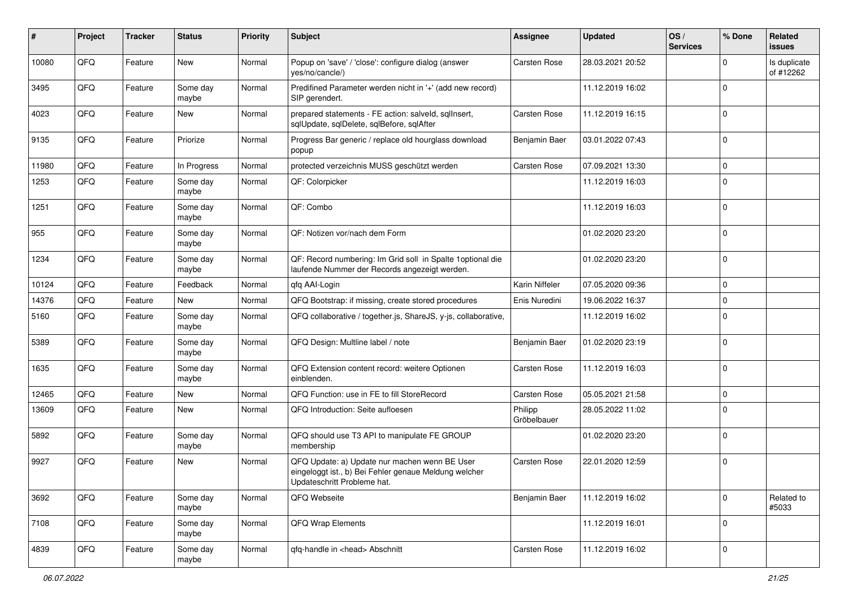| $\sharp$ | Project | <b>Tracker</b> | <b>Status</b>     | <b>Priority</b> | <b>Subject</b>                                                                                                                        | <b>Assignee</b>        | <b>Updated</b>   | OS/<br><b>Services</b> | % Done      | Related<br>issues         |
|----------|---------|----------------|-------------------|-----------------|---------------------------------------------------------------------------------------------------------------------------------------|------------------------|------------------|------------------------|-------------|---------------------------|
| 10080    | QFQ     | Feature        | New               | Normal          | Popup on 'save' / 'close': configure dialog (answer<br>yes/no/cancle/)                                                                | Carsten Rose           | 28.03.2021 20:52 |                        | 0           | Is duplicate<br>of #12262 |
| 3495     | QFQ     | Feature        | Some day<br>maybe | Normal          | Predifined Parameter werden nicht in '+' (add new record)<br>SIP gerendert.                                                           |                        | 11.12.2019 16:02 |                        | $\mathbf 0$ |                           |
| 4023     | QFQ     | Feature        | New               | Normal          | prepared statements - FE action: salveld, sqlInsert,<br>sqlUpdate, sqlDelete, sqlBefore, sqlAfter                                     | Carsten Rose           | 11.12.2019 16:15 |                        | $\Omega$    |                           |
| 9135     | QFQ     | Feature        | Priorize          | Normal          | Progress Bar generic / replace old hourglass download<br>popup                                                                        | Benjamin Baer          | 03.01.2022 07:43 |                        | $\mathbf 0$ |                           |
| 11980    | QFQ     | Feature        | In Progress       | Normal          | protected verzeichnis MUSS geschützt werden                                                                                           | Carsten Rose           | 07.09.2021 13:30 |                        | $\mathbf 0$ |                           |
| 1253     | QFQ     | Feature        | Some day<br>maybe | Normal          | QF: Colorpicker                                                                                                                       |                        | 11.12.2019 16:03 |                        | $\Omega$    |                           |
| 1251     | QFQ     | Feature        | Some day<br>maybe | Normal          | QF: Combo                                                                                                                             |                        | 11.12.2019 16:03 |                        | $\mathbf 0$ |                           |
| 955      | QFQ     | Feature        | Some day<br>maybe | Normal          | QF: Notizen vor/nach dem Form                                                                                                         |                        | 01.02.2020 23:20 |                        | $\mathbf 0$ |                           |
| 1234     | QFQ     | Feature        | Some day<br>maybe | Normal          | QF: Record numbering: Im Grid soll in Spalte 1 optional die<br>laufende Nummer der Records angezeigt werden.                          |                        | 01.02.2020 23:20 |                        | $\Omega$    |                           |
| 10124    | QFQ     | Feature        | Feedback          | Normal          | gfg AAI-Login                                                                                                                         | Karin Niffeler         | 07.05.2020 09:36 |                        | $\mathbf 0$ |                           |
| 14376    | QFQ     | Feature        | <b>New</b>        | Normal          | QFQ Bootstrap: if missing, create stored procedures                                                                                   | Enis Nuredini          | 19.06.2022 16:37 |                        | $\Omega$    |                           |
| 5160     | QFQ     | Feature        | Some day<br>maybe | Normal          | QFQ collaborative / together.js, ShareJS, y-js, collaborative,                                                                        |                        | 11.12.2019 16:02 |                        | $\mathbf 0$ |                           |
| 5389     | QFQ     | Feature        | Some day<br>maybe | Normal          | QFQ Design: Multline label / note                                                                                                     | Benjamin Baer          | 01.02.2020 23:19 |                        | $\mathbf 0$ |                           |
| 1635     | QFQ     | Feature        | Some day<br>maybe | Normal          | QFQ Extension content record: weitere Optionen<br>einblenden.                                                                         | Carsten Rose           | 11.12.2019 16:03 |                        | $\Omega$    |                           |
| 12465    | QFQ     | Feature        | New               | Normal          | QFQ Function: use in FE to fill StoreRecord                                                                                           | <b>Carsten Rose</b>    | 05.05.2021 21:58 |                        | $\mathbf 0$ |                           |
| 13609    | QFQ     | Feature        | New               | Normal          | QFQ Introduction: Seite aufloesen                                                                                                     | Philipp<br>Gröbelbauer | 28.05.2022 11:02 |                        | $\Omega$    |                           |
| 5892     | QFQ     | Feature        | Some day<br>maybe | Normal          | QFQ should use T3 API to manipulate FE GROUP<br>membership                                                                            |                        | 01.02.2020 23:20 |                        | $\mathbf 0$ |                           |
| 9927     | QFQ     | Feature        | New               | Normal          | QFQ Update: a) Update nur machen wenn BE User<br>eingeloggt ist., b) Bei Fehler genaue Meldung welcher<br>Updateschritt Probleme hat. | <b>Carsten Rose</b>    | 22.01.2020 12:59 |                        | $\mathbf 0$ |                           |
| 3692     | QFQ     | Feature        | Some day<br>maybe | Normal          | QFQ Webseite                                                                                                                          | Benjamin Baer          | 11.12.2019 16:02 |                        | $\mathbf 0$ | Related to<br>#5033       |
| 7108     | QFQ     | Feature        | Some day<br>maybe | Normal          | QFQ Wrap Elements                                                                                                                     |                        | 11.12.2019 16:01 |                        | $\mathbf 0$ |                           |
| 4839     | QFQ     | Feature        | Some day<br>maybe | Normal          | qfq-handle in <head> Abschnitt</head>                                                                                                 | Carsten Rose           | 11.12.2019 16:02 |                        | 0           |                           |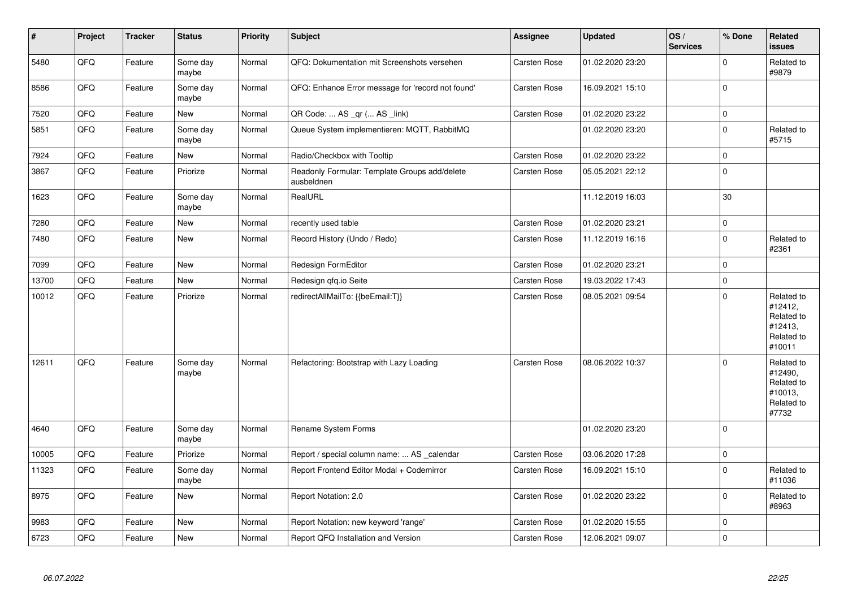| $\sharp$ | Project | <b>Tracker</b> | <b>Status</b>     | <b>Priority</b> | <b>Subject</b>                                              | Assignee     | <b>Updated</b>   | OS/<br><b>Services</b> | % Done      | Related<br>issues                                                      |
|----------|---------|----------------|-------------------|-----------------|-------------------------------------------------------------|--------------|------------------|------------------------|-------------|------------------------------------------------------------------------|
| 5480     | QFQ     | Feature        | Some day<br>maybe | Normal          | QFQ: Dokumentation mit Screenshots versehen                 | Carsten Rose | 01.02.2020 23:20 |                        | $\Omega$    | Related to<br>#9879                                                    |
| 8586     | QFQ     | Feature        | Some day<br>maybe | Normal          | QFQ: Enhance Error message for 'record not found'           | Carsten Rose | 16.09.2021 15:10 |                        | $\Omega$    |                                                                        |
| 7520     | QFQ     | Feature        | <b>New</b>        | Normal          | QR Code:  AS _qr ( AS _link)                                | Carsten Rose | 01.02.2020 23:22 |                        | $\mathbf 0$ |                                                                        |
| 5851     | QFQ     | Feature        | Some day<br>maybe | Normal          | Queue System implementieren: MQTT, RabbitMQ                 |              | 01.02.2020 23:20 |                        | $\Omega$    | Related to<br>#5715                                                    |
| 7924     | QFQ     | Feature        | New               | Normal          | Radio/Checkbox with Tooltip                                 | Carsten Rose | 01.02.2020 23:22 |                        | $\mathbf 0$ |                                                                        |
| 3867     | QFQ     | Feature        | Priorize          | Normal          | Readonly Formular: Template Groups add/delete<br>ausbeldnen | Carsten Rose | 05.05.2021 22:12 |                        | $\mathbf 0$ |                                                                        |
| 1623     | QFG     | Feature        | Some day<br>maybe | Normal          | RealURL                                                     |              | 11.12.2019 16:03 |                        | 30          |                                                                        |
| 7280     | QFQ     | Feature        | New               | Normal          | recently used table                                         | Carsten Rose | 01.02.2020 23:21 |                        | $\mathbf 0$ |                                                                        |
| 7480     | QFG     | Feature        | New               | Normal          | Record History (Undo / Redo)                                | Carsten Rose | 11.12.2019 16:16 |                        | $\mathbf 0$ | Related to<br>#2361                                                    |
| 7099     | QFQ     | Feature        | New               | Normal          | Redesign FormEditor                                         | Carsten Rose | 01.02.2020 23:21 |                        | $\mathbf 0$ |                                                                        |
| 13700    | QFQ     | Feature        | <b>New</b>        | Normal          | Redesign gfg.io Seite                                       | Carsten Rose | 19.03.2022 17:43 |                        | $\mathbf 0$ |                                                                        |
| 10012    | QFQ     | Feature        | Priorize          | Normal          | redirectAllMailTo: {{beEmail:T}}                            | Carsten Rose | 08.05.2021 09:54 |                        | $\Omega$    | Related to<br>#12412,<br>Related to<br>#12413,<br>Related to<br>#10011 |
| 12611    | QFQ     | Feature        | Some day<br>maybe | Normal          | Refactoring: Bootstrap with Lazy Loading                    | Carsten Rose | 08.06.2022 10:37 |                        | $\Omega$    | Related to<br>#12490,<br>Related to<br>#10013,<br>Related to<br>#7732  |
| 4640     | QFQ     | Feature        | Some day<br>maybe | Normal          | Rename System Forms                                         |              | 01.02.2020 23:20 |                        | $\mathbf 0$ |                                                                        |
| 10005    | QFQ     | Feature        | Priorize          | Normal          | Report / special column name:  AS _calendar                 | Carsten Rose | 03.06.2020 17:28 |                        | $\mathbf 0$ |                                                                        |
| 11323    | QFQ     | Feature        | Some day<br>maybe | Normal          | Report Frontend Editor Modal + Codemirror                   | Carsten Rose | 16.09.2021 15:10 |                        | $\Omega$    | Related to<br>#11036                                                   |
| 8975     | QFG     | Feature        | <b>New</b>        | Normal          | Report Notation: 2.0                                        | Carsten Rose | 01.02.2020 23:22 |                        | $\mathbf 0$ | Related to<br>#8963                                                    |
| 9983     | QFQ     | Feature        | <b>New</b>        | Normal          | Report Notation: new keyword 'range'                        | Carsten Rose | 01.02.2020 15:55 |                        | $\mathbf 0$ |                                                                        |
| 6723     | QFQ     | Feature        | New               | Normal          | Report QFQ Installation and Version                         | Carsten Rose | 12.06.2021 09:07 |                        | $\Omega$    |                                                                        |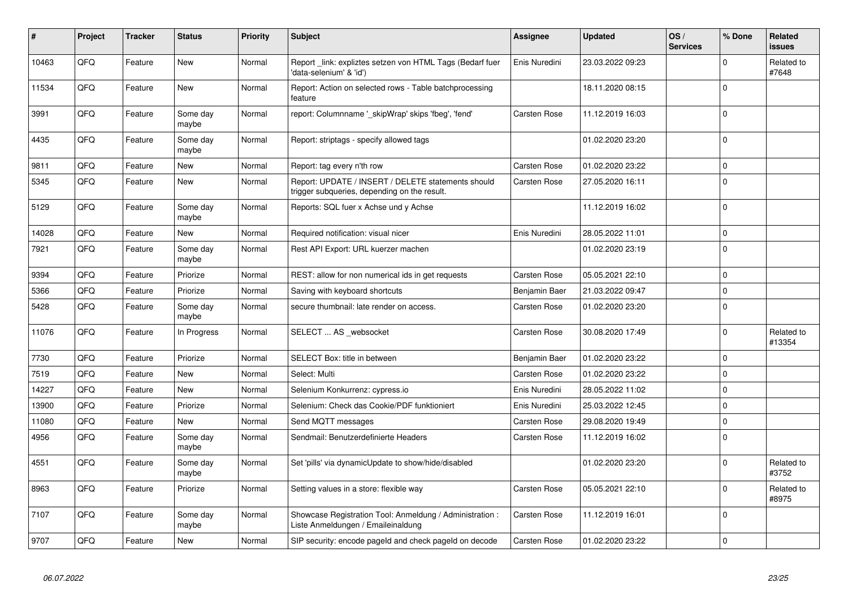| #     | Project | <b>Tracker</b> | <b>Status</b>     | <b>Priority</b> | <b>Subject</b>                                                                                     | Assignee      | <b>Updated</b>   | OS/<br><b>Services</b> | % Done      | Related<br><b>issues</b> |
|-------|---------|----------------|-------------------|-----------------|----------------------------------------------------------------------------------------------------|---------------|------------------|------------------------|-------------|--------------------------|
| 10463 | QFQ     | Feature        | <b>New</b>        | Normal          | Report _link: expliztes setzen von HTML Tags (Bedarf fuer<br>'data-selenium' & 'id')               | Enis Nuredini | 23.03.2022 09:23 |                        | $\Omega$    | Related to<br>#7648      |
| 11534 | QFQ     | Feature        | <b>New</b>        | Normal          | Report: Action on selected rows - Table batchprocessing<br>feature                                 |               | 18.11.2020 08:15 |                        | 0           |                          |
| 3991  | QFQ     | Feature        | Some day<br>maybe | Normal          | report: Columnname '_skipWrap' skips 'fbeg', 'fend'                                                | Carsten Rose  | 11.12.2019 16:03 |                        | $\Omega$    |                          |
| 4435  | QFQ     | Feature        | Some day<br>maybe | Normal          | Report: striptags - specify allowed tags                                                           |               | 01.02.2020 23:20 |                        | $\Omega$    |                          |
| 9811  | QFQ     | Feature        | New               | Normal          | Report: tag every n'th row                                                                         | Carsten Rose  | 01.02.2020 23:22 |                        | $\Omega$    |                          |
| 5345  | QFQ     | Feature        | <b>New</b>        | Normal          | Report: UPDATE / INSERT / DELETE statements should<br>trigger subqueries, depending on the result. | Carsten Rose  | 27.05.2020 16:11 |                        | $\mathbf 0$ |                          |
| 5129  | QFQ     | Feature        | Some day<br>maybe | Normal          | Reports: SQL fuer x Achse und y Achse                                                              |               | 11.12.2019 16:02 |                        | $\mathbf 0$ |                          |
| 14028 | QFQ     | Feature        | <b>New</b>        | Normal          | Required notification: visual nicer                                                                | Enis Nuredini | 28.05.2022 11:01 |                        | $\mathbf 0$ |                          |
| 7921  | QFQ     | Feature        | Some day<br>maybe | Normal          | Rest API Export: URL kuerzer machen                                                                |               | 01.02.2020 23:19 |                        | $\Omega$    |                          |
| 9394  | QFQ     | Feature        | Priorize          | Normal          | REST: allow for non numerical ids in get requests                                                  | Carsten Rose  | 05.05.2021 22:10 |                        | $\Omega$    |                          |
| 5366  | QFQ     | Feature        | Priorize          | Normal          | Saving with keyboard shortcuts                                                                     | Benjamin Baer | 21.03.2022 09:47 |                        | $\mathbf 0$ |                          |
| 5428  | QFQ     | Feature        | Some day<br>maybe | Normal          | secure thumbnail: late render on access.                                                           | Carsten Rose  | 01.02.2020 23:20 |                        | $\Omega$    |                          |
| 11076 | QFQ     | Feature        | In Progress       | Normal          | SELECT  AS _websocket                                                                              | Carsten Rose  | 30.08.2020 17:49 |                        | $\Omega$    | Related to<br>#13354     |
| 7730  | QFQ     | Feature        | Priorize          | Normal          | SELECT Box: title in between                                                                       | Benjamin Baer | 01.02.2020 23:22 |                        | $\Omega$    |                          |
| 7519  | QFQ     | Feature        | New               | Normal          | Select: Multi                                                                                      | Carsten Rose  | 01.02.2020 23:22 |                        | $\mathbf 0$ |                          |
| 14227 | QFQ     | Feature        | New               | Normal          | Selenium Konkurrenz: cypress.io                                                                    | Enis Nuredini | 28.05.2022 11:02 |                        | $\Omega$    |                          |
| 13900 | QFQ     | Feature        | Priorize          | Normal          | Selenium: Check das Cookie/PDF funktioniert                                                        | Enis Nuredini | 25.03.2022 12:45 |                        | $\Omega$    |                          |
| 11080 | QFQ     | Feature        | <b>New</b>        | Normal          | Send MQTT messages                                                                                 | Carsten Rose  | 29.08.2020 19:49 |                        | $\Omega$    |                          |
| 4956  | QFQ     | Feature        | Some day<br>maybe | Normal          | Sendmail: Benutzerdefinierte Headers                                                               | Carsten Rose  | 11.12.2019 16:02 |                        | $\Omega$    |                          |
| 4551  | QFQ     | Feature        | Some day<br>maybe | Normal          | Set 'pills' via dynamicUpdate to show/hide/disabled                                                |               | 01.02.2020 23:20 |                        | $\mathbf 0$ | Related to<br>#3752      |
| 8963  | QFQ     | Feature        | Priorize          | Normal          | Setting values in a store: flexible way                                                            | Carsten Rose  | 05.05.2021 22:10 |                        | $\Omega$    | Related to<br>#8975      |
| 7107  | QFQ     | Feature        | Some day<br>maybe | Normal          | Showcase Registration Tool: Anmeldung / Administration :<br>Liste Anmeldungen / Emaileinaldung     | Carsten Rose  | 11.12.2019 16:01 |                        | $\Omega$    |                          |
| 9707  | QFQ     | Feature        | <b>New</b>        | Normal          | SIP security: encode pageld and check pageld on decode                                             | Carsten Rose  | 01.02.2020 23:22 |                        | $\mathbf 0$ |                          |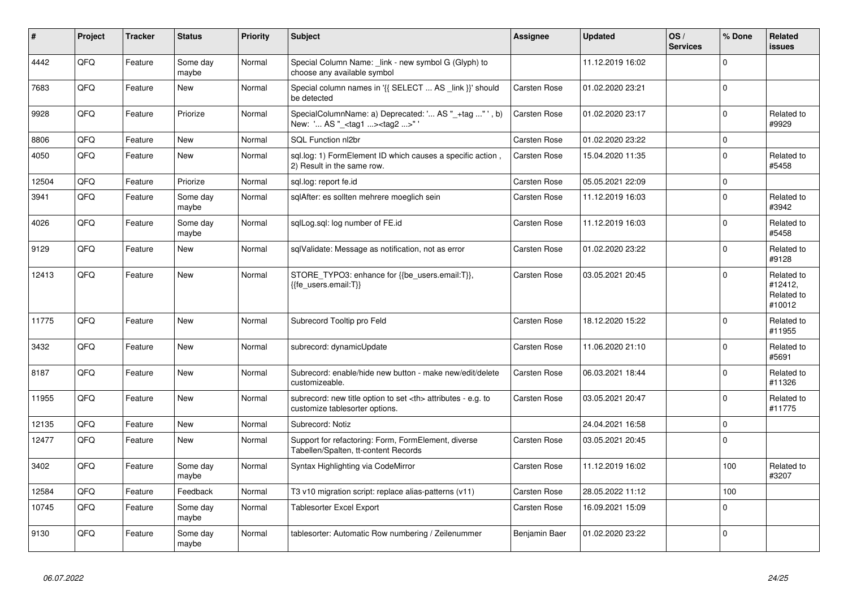| $\vert$ # | Project | <b>Tracker</b> | <b>Status</b>     | <b>Priority</b> | <b>Subject</b>                                                                                       | Assignee                                               | <b>Updated</b>   | OS/<br><b>Services</b> | % Done   | Related<br><b>issues</b>                      |                      |
|-----------|---------|----------------|-------------------|-----------------|------------------------------------------------------------------------------------------------------|--------------------------------------------------------|------------------|------------------------|----------|-----------------------------------------------|----------------------|
| 4442      | QFQ     | Feature        | Some day<br>maybe | Normal          | Special Column Name: _link - new symbol G (Glyph) to<br>choose any available symbol                  |                                                        | 11.12.2019 16:02 |                        | $\Omega$ |                                               |                      |
| 7683      | QFQ     | Feature        | New               | Normal          | Special column names in '{{ SELECT  AS _link }}' should<br>be detected                               | Carsten Rose                                           | 01.02.2020 23:21 |                        | $\Omega$ |                                               |                      |
| 9928      | QFQ     | Feature        | Priorize          | Normal          | SpecialColumnName: a) Deprecated: ' AS "_+tag " ', b)<br>New: ' AS "_ <tag1><tag2>"</tag2></tag1>    | Carsten Rose                                           | 01.02.2020 23:17 |                        | $\Omega$ | Related to<br>#9929                           |                      |
| 8806      | QFQ     | Feature        | <b>New</b>        | Normal          | SQL Function nl2br                                                                                   | Carsten Rose                                           | 01.02.2020 23:22 |                        | $\Omega$ |                                               |                      |
| 4050      | QFQ     | Feature        | New               | Normal          | sgl.log: 1) FormElement ID which causes a specific action,<br>2) Result in the same row.             | Carsten Rose                                           | 15.04.2020 11:35 |                        | $\Omega$ | Related to<br>#5458                           |                      |
| 12504     | QFQ     | Feature        | Priorize          | Normal          | sql.log: report fe.id                                                                                | Carsten Rose                                           | 05.05.2021 22:09 |                        | $\Omega$ |                                               |                      |
| 3941      | QFQ     | Feature        | Some day<br>maybe | Normal          | sglAfter: es sollten mehrere moeglich sein                                                           | Carsten Rose                                           | 11.12.2019 16:03 |                        | $\Omega$ | Related to<br>#3942                           |                      |
| 4026      | QFQ     | Feature        | Some day<br>maybe | Normal          | sqlLog.sql: log number of FE.id                                                                      | Carsten Rose                                           | 11.12.2019 16:03 |                        | $\Omega$ | Related to<br>#5458                           |                      |
| 9129      | QFQ     | Feature        | <b>New</b>        | Normal          | sqlValidate: Message as notification, not as error                                                   | Carsten Rose                                           | 01.02.2020 23:22 |                        | $\Omega$ | Related to<br>#9128                           |                      |
| 12413     | QFQ     | Feature        | New               | Normal          | STORE_TYPO3: enhance for {{be_users.email:T}},<br>{{fe users.email:T}}                               | Carsten Rose                                           | 03.05.2021 20:45 |                        | $\Omega$ | Related to<br>#12412,<br>Related to<br>#10012 |                      |
| 11775     | QFQ     | Feature        | <b>New</b>        | Normal          | Subrecord Tooltip pro Feld                                                                           | Carsten Rose                                           | 18.12.2020 15:22 |                        | $\Omega$ | Related to<br>#11955                          |                      |
| 3432      | QFQ     | Feature        | <b>New</b>        | Normal          | subrecord: dynamicUpdate                                                                             | Carsten Rose                                           | 11.06.2020 21:10 |                        | $\Omega$ | Related to<br>#5691                           |                      |
| 8187      | QFQ     | Feature        | New               | Normal          | Subrecord: enable/hide new button - make new/edit/delete<br>customizeable.                           | Carsten Rose                                           | 06.03.2021 18:44 |                        | $\Omega$ | Related to<br>#11326                          |                      |
| 11955     | QFQ     | Feature        | New               | Normal          | subrecord: new title option to set <th> attributes - e.g. to<br/>customize tablesorter options.</th> | attributes - e.g. to<br>customize tablesorter options. | Carsten Rose     | 03.05.2021 20:47       |          | $\Omega$                                      | Related to<br>#11775 |
| 12135     | QFQ     | Feature        | <b>New</b>        | Normal          | Subrecord: Notiz                                                                                     |                                                        | 24.04.2021 16:58 |                        | $\Omega$ |                                               |                      |
| 12477     | QFQ     | Feature        | New               | Normal          | Support for refactoring: Form, FormElement, diverse<br>Tabellen/Spalten, tt-content Records          | Carsten Rose                                           | 03.05.2021 20:45 |                        | $\Omega$ |                                               |                      |
| 3402      | QFQ     | Feature        | Some day<br>maybe | Normal          | Syntax Highlighting via CodeMirror                                                                   | Carsten Rose                                           | 11.12.2019 16:02 |                        | 100      | Related to<br>#3207                           |                      |
| 12584     | QFQ     | Feature        | Feedback          | Normal          | T3 v10 migration script: replace alias-patterns (v11)                                                | Carsten Rose                                           | 28.05.2022 11:12 |                        | 100      |                                               |                      |
| 10745     | QFQ     | Feature        | Some day<br>maybe | Normal          | Tablesorter Excel Export                                                                             | Carsten Rose                                           | 16.09.2021 15:09 |                        | $\Omega$ |                                               |                      |
| 9130      | QFQ     | Feature        | Some day<br>maybe | Normal          | tablesorter: Automatic Row numbering / Zeilenummer                                                   | Benjamin Baer                                          | 01.02.2020 23:22 |                        | $\Omega$ |                                               |                      |